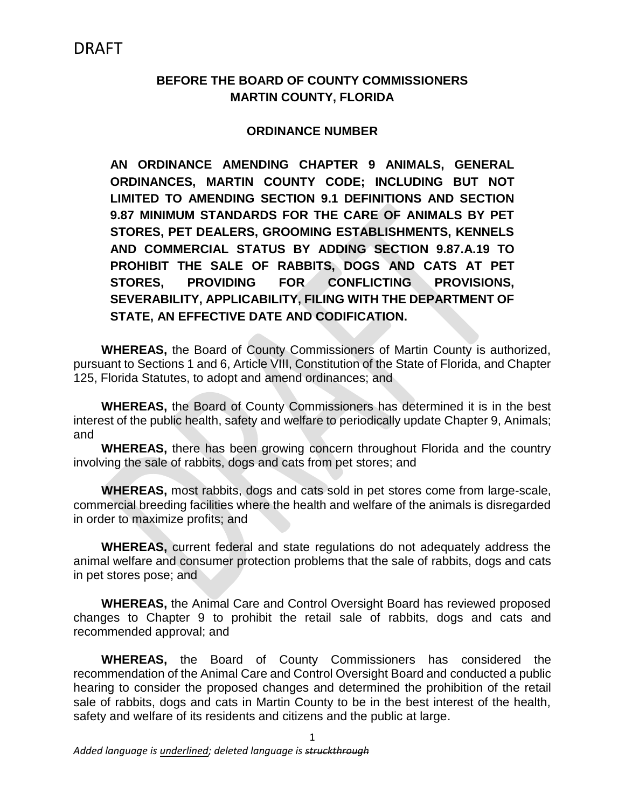## **BEFORE THE BOARD OF COUNTY COMMISSIONERS MARTIN COUNTY, FLORIDA**

### **ORDINANCE NUMBER**

**AN ORDINANCE AMENDING CHAPTER 9 ANIMALS, GENERAL ORDINANCES, MARTIN COUNTY CODE; INCLUDING BUT NOT LIMITED TO AMENDING SECTION 9.1 DEFINITIONS AND SECTION 9.87 MINIMUM STANDARDS FOR THE CARE OF ANIMALS BY PET STORES, PET DEALERS, GROOMING ESTABLISHMENTS, KENNELS AND COMMERCIAL STATUS BY ADDING SECTION 9.87.A.19 TO PROHIBIT THE SALE OF RABBITS, DOGS AND CATS AT PET STORES, PROVIDING FOR CONFLICTING PROVISIONS, SEVERABILITY, APPLICABILITY, FILING WITH THE DEPARTMENT OF STATE, AN EFFECTIVE DATE AND CODIFICATION.**

**WHEREAS,** the Board of County Commissioners of Martin County is authorized, pursuant to Sections 1 and 6, Article VIII, Constitution of the State of Florida, and Chapter 125, Florida Statutes, to adopt and amend ordinances; and

**WHEREAS,** the Board of County Commissioners has determined it is in the best interest of the public health, safety and welfare to periodically update Chapter 9, Animals; and

**WHEREAS,** there has been growing concern throughout Florida and the country involving the sale of rabbits, dogs and cats from pet stores; and

**WHEREAS,** most rabbits, dogs and cats sold in pet stores come from large-scale, commercial breeding facilities where the health and welfare of the animals is disregarded in order to maximize profits; and

**WHEREAS,** current federal and state regulations do not adequately address the animal welfare and consumer protection problems that the sale of rabbits, dogs and cats in pet stores pose; and

**WHEREAS,** the Animal Care and Control Oversight Board has reviewed proposed changes to Chapter 9 to prohibit the retail sale of rabbits, dogs and cats and recommended approval; and

**WHEREAS,** the Board of County Commissioners has considered the recommendation of the Animal Care and Control Oversight Board and conducted a public hearing to consider the proposed changes and determined the prohibition of the retail sale of rabbits, dogs and cats in Martin County to be in the best interest of the health, safety and welfare of its residents and citizens and the public at large.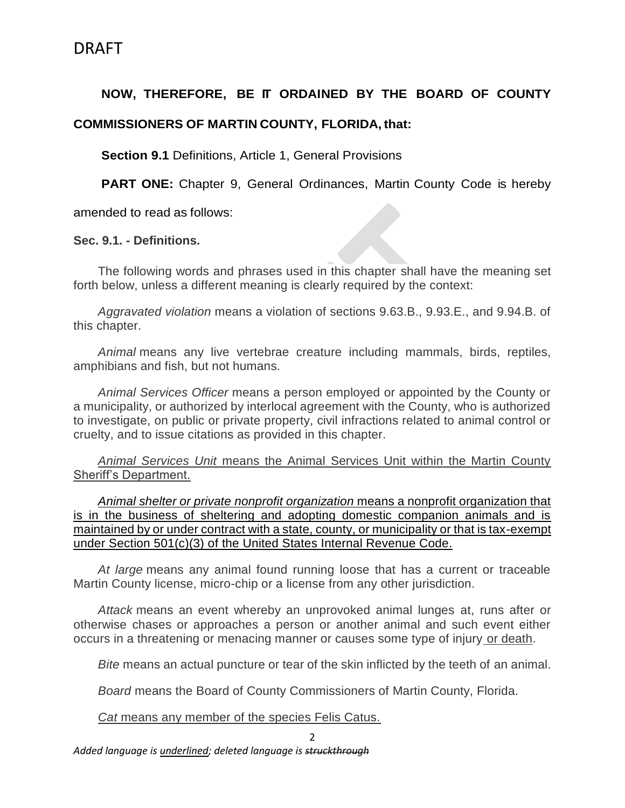## **NOW, THEREFORE, BE IT ORDAINED BY THE BOARD OF COUNTY**

### **COMMISSIONERS OF MARTIN COUNTY, FLORIDA, that:**

**Section 9.1 Definitions, Article 1, General Provisions** 

**PART ONE:** Chapter 9, General Ordinances, Martin County Code is hereby

amended to read as follows:

#### **Sec. 9.1. - Definitions.**

The following words and phrases used in this chapter shall have the meaning set forth below, unless a different meaning is clearly required by the context:

*Aggravated violation* means a violation of sections 9.63.B., 9.93.E., and 9.94.B. of this chapter.

*Animal* means any live vertebrae creature including mammals, birds, reptiles, amphibians and fish, but not humans.

*Animal Services Officer* means a person employed or appointed by the County or a municipality, or authorized by interlocal agreement with the County, who is authorized to investigate, on public or private property, civil infractions related to animal control or cruelty, and to issue citations as provided in this chapter.

*Animal Services Unit* means the Animal Services Unit within the Martin County Sheriff's Department.

*Animal shelter or private nonprofit organization* means a nonprofit organization that is in the business of sheltering and adopting domestic companion animals and is maintained by or under contract with a state, county, or municipality or that is tax-exempt under Section 501(c)(3) of the United States Internal Revenue Code.

*At large* means any animal found running loose that has a current or traceable Martin County license, micro-chip or a license from any other jurisdiction.

*Attack* means an event whereby an unprovoked animal lunges at, runs after or otherwise chases or approaches a person or another animal and such event either occurs in a threatening or menacing manner or causes some type of injury or death.

*Bite* means an actual puncture or tear of the skin inflicted by the teeth of an animal.

*Board* means the Board of County Commissioners of Martin County, Florida.

*Cat* means any member of the species Felis Catus.

*Added language is underlined; deleted language is struckthrough*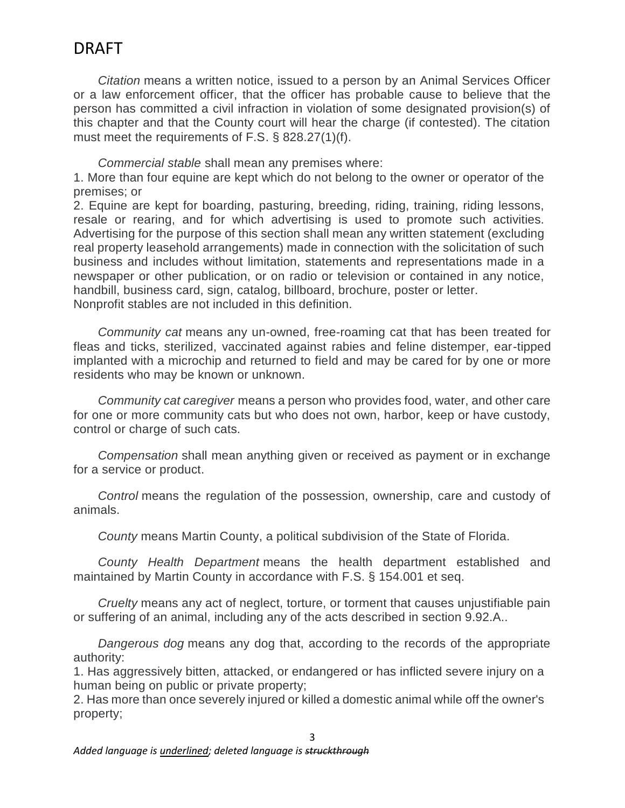*Citation* means a written notice, issued to a person by an Animal Services Officer or a law enforcement officer, that the officer has probable cause to believe that the person has committed a civil infraction in violation of some designated provision(s) of this chapter and that the County court will hear the charge (if contested). The citation must meet the requirements of F.S. § 828.27(1)(f).

*Commercial stable* shall mean any premises where:

1. More than four equine are kept which do not belong to the owner or operator of the premises; or

2. Equine are kept for boarding, pasturing, breeding, riding, training, riding lessons, resale or rearing, and for which advertising is used to promote such activities. Advertising for the purpose of this section shall mean any written statement (excluding real property leasehold arrangements) made in connection with the solicitation of such business and includes without limitation, statements and representations made in a newspaper or other publication, or on radio or television or contained in any notice, handbill, business card, sign, catalog, billboard, brochure, poster or letter. Nonprofit stables are not included in this definition.

*Community cat* means any un-owned, free-roaming cat that has been treated for fleas and ticks, sterilized, vaccinated against rabies and feline distemper, ear-tipped implanted with a microchip and returned to field and may be cared for by one or more residents who may be known or unknown.

*Community cat caregiver* means a person who provides food, water, and other care for one or more community cats but who does not own, harbor, keep or have custody, control or charge of such cats.

*Compensation* shall mean anything given or received as payment or in exchange for a service or product.

*Control* means the regulation of the possession, ownership, care and custody of animals.

*County* means Martin County, a political subdivision of the State of Florida.

*County Health Department* means the health department established and maintained by Martin County in accordance with F.S. § 154.001 et seq.

*Cruelty* means any act of neglect, torture, or torment that causes unjustifiable pain or suffering of an animal, including any of the acts described in section 9.92.A..

*Dangerous dog* means any dog that, according to the records of the appropriate authority:

1. Has aggressively bitten, attacked, or endangered or has inflicted severe injury on a human being on public or private property;

2. Has more than once severely injured or killed a domestic animal while off the owner's property;

3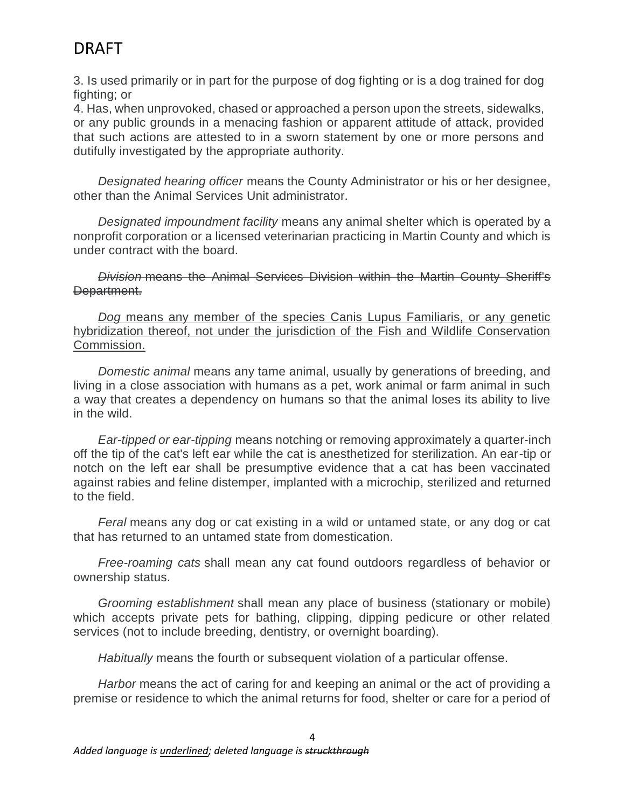3. Is used primarily or in part for the purpose of dog fighting or is a dog trained for dog fighting; or

4. Has, when unprovoked, chased or approached a person upon the streets, sidewalks, or any public grounds in a menacing fashion or apparent attitude of attack, provided that such actions are attested to in a sworn statement by one or more persons and dutifully investigated by the appropriate authority.

*Designated hearing officer* means the County Administrator or his or her designee, other than the Animal Services Unit administrator.

*Designated impoundment facility* means any animal shelter which is operated by a nonprofit corporation or a licensed veterinarian practicing in Martin County and which is under contract with the board.

*Division* means the Animal Services Division within the Martin County Sheriff's Department.

*Dog* means any member of the species Canis Lupus Familiaris, or any genetic hybridization thereof, not under the jurisdiction of the Fish and Wildlife Conservation Commission.

*Domestic animal* means any tame animal, usually by generations of breeding, and living in a close association with humans as a pet, work animal or farm animal in such a way that creates a dependency on humans so that the animal loses its ability to live in the wild.

*Ear-tipped or ear-tipping* means notching or removing approximately a quarter-inch off the tip of the cat's left ear while the cat is anesthetized for sterilization. An ear-tip or notch on the left ear shall be presumptive evidence that a cat has been vaccinated against rabies and feline distemper, implanted with a microchip, sterilized and returned to the field.

*Feral* means any dog or cat existing in a wild or untamed state, or any dog or cat that has returned to an untamed state from domestication.

*Free-roaming cats* shall mean any cat found outdoors regardless of behavior or ownership status.

*Grooming establishment* shall mean any place of business (stationary or mobile) which accepts private pets for bathing, clipping, dipping pedicure or other related services (not to include breeding, dentistry, or overnight boarding).

*Habitually* means the fourth or subsequent violation of a particular offense.

*Harbor* means the act of caring for and keeping an animal or the act of providing a premise or residence to which the animal returns for food, shelter or care for a period of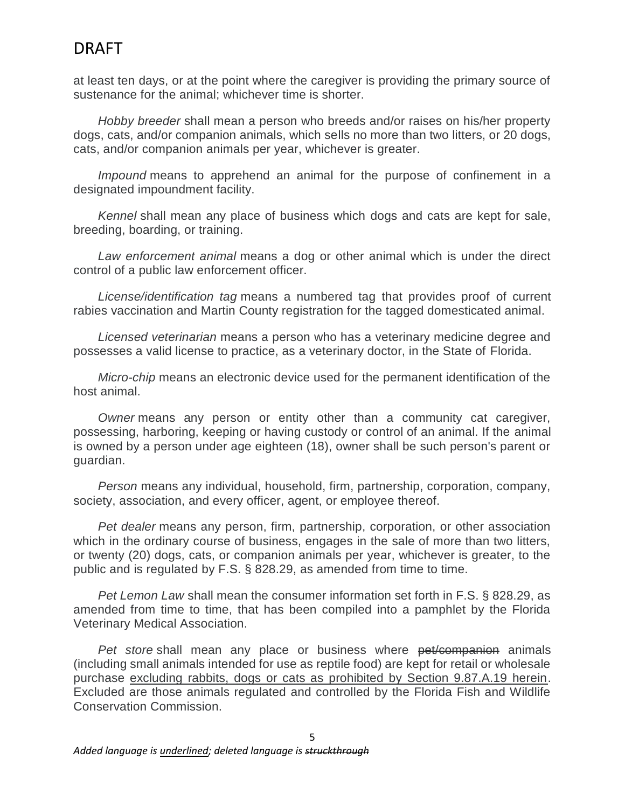at least ten days, or at the point where the caregiver is providing the primary source of sustenance for the animal; whichever time is shorter.

*Hobby breeder* shall mean a person who breeds and/or raises on his/her property dogs, cats, and/or companion animals, which sells no more than two litters, or 20 dogs, cats, and/or companion animals per year, whichever is greater.

*Impound* means to apprehend an animal for the purpose of confinement in a designated impoundment facility.

*Kennel* shall mean any place of business which dogs and cats are kept for sale, breeding, boarding, or training.

*Law enforcement animal* means a dog or other animal which is under the direct control of a public law enforcement officer.

*License/identification tag* means a numbered tag that provides proof of current rabies vaccination and Martin County registration for the tagged domesticated animal.

*Licensed veterinarian* means a person who has a veterinary medicine degree and possesses a valid license to practice, as a veterinary doctor, in the State of Florida.

*Micro-chip* means an electronic device used for the permanent identification of the host animal.

*Owner* means any person or entity other than a community cat caregiver, possessing, harboring, keeping or having custody or control of an animal. If the animal is owned by a person under age eighteen (18), owner shall be such person's parent or guardian.

*Person* means any individual, household, firm, partnership, corporation, company, society, association, and every officer, agent, or employee thereof.

*Pet dealer* means any person, firm, partnership, corporation, or other association which in the ordinary course of business, engages in the sale of more than two litters, or twenty (20) dogs, cats, or companion animals per year, whichever is greater, to the public and is regulated by F.S. § 828.29, as amended from time to time.

*Pet Lemon Law* shall mean the consumer information set forth in F.S. § 828.29, as amended from time to time, that has been compiled into a pamphlet by the Florida Veterinary Medical Association.

*Pet store* shall mean any place or business where pet/companion animals (including small animals intended for use as reptile food) are kept for retail or wholesale purchase excluding rabbits, dogs or cats as prohibited by Section 9.87.A.19 herein. Excluded are those animals regulated and controlled by the Florida Fish and Wildlife Conservation Commission.

5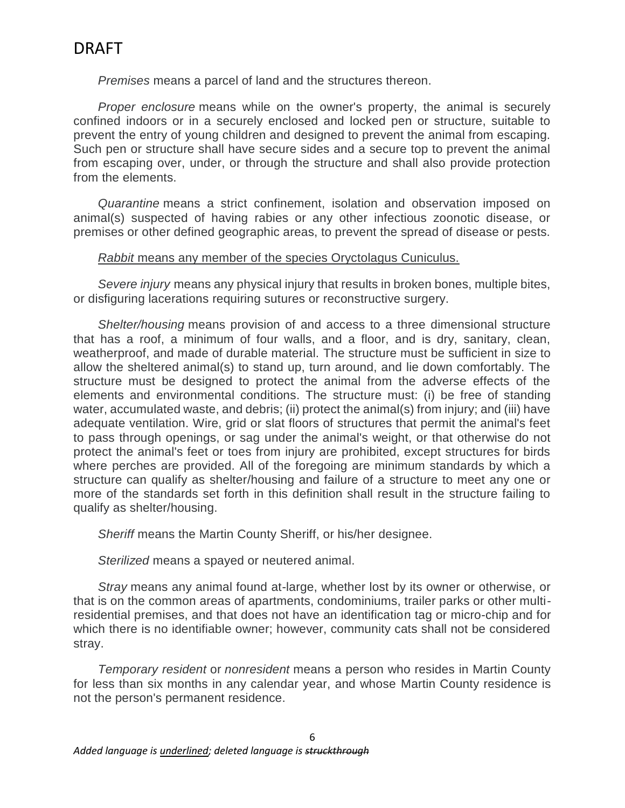*Premises* means a parcel of land and the structures thereon.

*Proper enclosure* means while on the owner's property, the animal is securely confined indoors or in a securely enclosed and locked pen or structure, suitable to prevent the entry of young children and designed to prevent the animal from escaping. Such pen or structure shall have secure sides and a secure top to prevent the animal from escaping over, under, or through the structure and shall also provide protection from the elements.

*Quarantine* means a strict confinement, isolation and observation imposed on animal(s) suspected of having rabies or any other infectious zoonotic disease, or premises or other defined geographic areas, to prevent the spread of disease or pests.

#### *Rabbit* means any member of the species Oryctolagus Cuniculus.

*Severe injury* means any physical injury that results in broken bones, multiple bites, or disfiguring lacerations requiring sutures or reconstructive surgery.

*Shelter/housing* means provision of and access to a three dimensional structure that has a roof, a minimum of four walls, and a floor, and is dry, sanitary, clean, weatherproof, and made of durable material. The structure must be sufficient in size to allow the sheltered animal(s) to stand up, turn around, and lie down comfortably. The structure must be designed to protect the animal from the adverse effects of the elements and environmental conditions. The structure must: (i) be free of standing water, accumulated waste, and debris; (ii) protect the animal(s) from injury; and (iii) have adequate ventilation. Wire, grid or slat floors of structures that permit the animal's feet to pass through openings, or sag under the animal's weight, or that otherwise do not protect the animal's feet or toes from injury are prohibited, except structures for birds where perches are provided. All of the foregoing are minimum standards by which a structure can qualify as shelter/housing and failure of a structure to meet any one or more of the standards set forth in this definition shall result in the structure failing to qualify as shelter/housing.

*Sheriff* means the Martin County Sheriff, or his/her designee.

*Sterilized* means a spayed or neutered animal.

*Stray* means any animal found at-large, whether lost by its owner or otherwise, or that is on the common areas of apartments, condominiums, trailer parks or other multiresidential premises, and that does not have an identification tag or micro-chip and for which there is no identifiable owner; however, community cats shall not be considered stray.

*Temporary resident* or *nonresident* means a person who resides in Martin County for less than six months in any calendar year, and whose Martin County residence is not the person's permanent residence.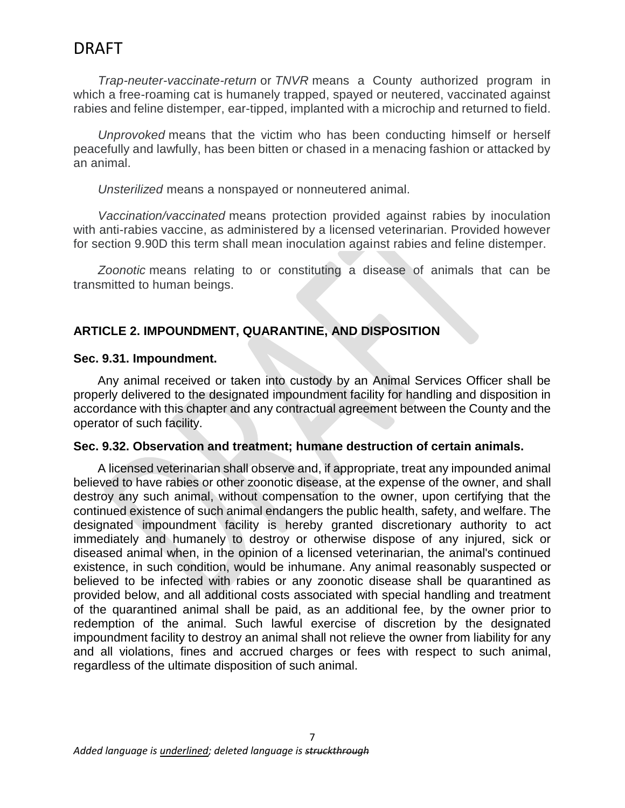*Trap-neuter-vaccinate-return* or *TNVR* means a County authorized program in which a free-roaming cat is humanely trapped, spayed or neutered, vaccinated against rabies and feline distemper, ear-tipped, implanted with a microchip and returned to field.

*Unprovoked* means that the victim who has been conducting himself or herself peacefully and lawfully, has been bitten or chased in a menacing fashion or attacked by an animal.

*Unsterilized* means a nonspayed or nonneutered animal.

*Vaccination/vaccinated* means protection provided against rabies by inoculation with anti-rabies vaccine, as administered by a licensed veterinarian. Provided however for section 9.90D this term shall mean inoculation against rabies and feline distemper.

*Zoonotic* means relating to or constituting a disease of animals that can be transmitted to human beings.

## **ARTICLE 2. IMPOUNDMENT, QUARANTINE, AND DISPOSITION**

### **Sec. 9.31. Impoundment.**

Any animal received or taken into custody by an Animal Services Officer shall be properly delivered to the designated impoundment facility for handling and disposition in accordance with this chapter and any contractual agreement between the County and the operator of such facility.

#### **Sec. 9.32. Observation and treatment; humane destruction of certain animals.**

A licensed veterinarian shall observe and, if appropriate, treat any impounded animal believed to have rabies or other zoonotic disease, at the expense of the owner, and shall destroy any such animal, without compensation to the owner, upon certifying that the continued existence of such animal endangers the public health, safety, and welfare. The designated impoundment facility is hereby granted discretionary authority to act immediately and humanely to destroy or otherwise dispose of any injured, sick or diseased animal when, in the opinion of a licensed veterinarian, the animal's continued existence, in such condition, would be inhumane. Any animal reasonably suspected or believed to be infected with rabies or any zoonotic disease shall be quarantined as provided below, and all additional costs associated with special handling and treatment of the quarantined animal shall be paid, as an additional fee, by the owner prior to redemption of the animal. Such lawful exercise of discretion by the designated impoundment facility to destroy an animal shall not relieve the owner from liability for any and all violations, fines and accrued charges or fees with respect to such animal, regardless of the ultimate disposition of such animal.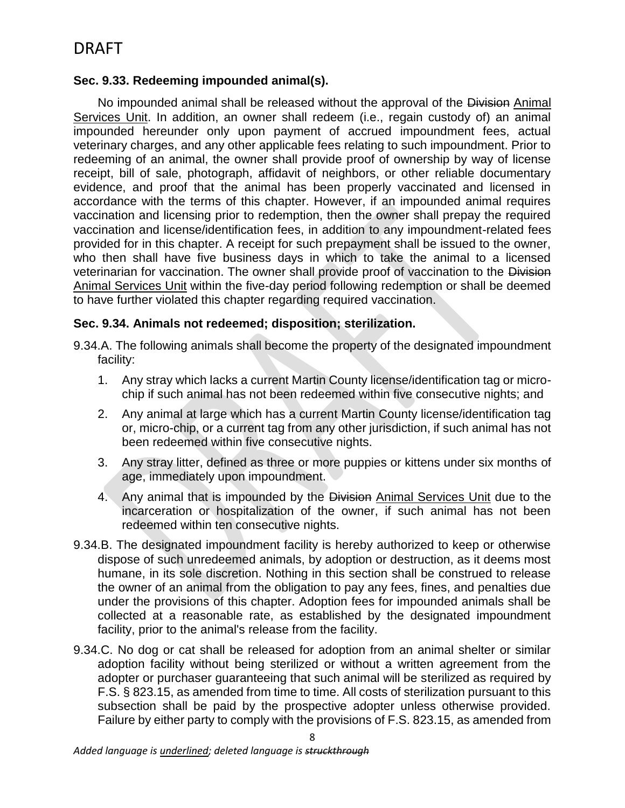### **Sec. 9.33. Redeeming impounded animal(s).**

No impounded animal shall be released without the approval of the Division Animal Services Unit. In addition, an owner shall redeem (i.e., regain custody of) an animal impounded hereunder only upon payment of accrued impoundment fees, actual veterinary charges, and any other applicable fees relating to such impoundment. Prior to redeeming of an animal, the owner shall provide proof of ownership by way of license receipt, bill of sale, photograph, affidavit of neighbors, or other reliable documentary evidence, and proof that the animal has been properly vaccinated and licensed in accordance with the terms of this chapter. However, if an impounded animal requires vaccination and licensing prior to redemption, then the owner shall prepay the required vaccination and license/identification fees, in addition to any impoundment-related fees provided for in this chapter. A receipt for such prepayment shall be issued to the owner, who then shall have five business days in which to take the animal to a licensed veterinarian for vaccination. The owner shall provide proof of vaccination to the Division Animal Services Unit within the five-day period following redemption or shall be deemed to have further violated this chapter regarding required vaccination.

### **Sec. 9.34. Animals not redeemed; disposition; sterilization.**

- 9.34.A. The following animals shall become the property of the designated impoundment facility:
	- 1. Any stray which lacks a current Martin County license/identification tag or microchip if such animal has not been redeemed within five consecutive nights; and
	- 2. Any animal at large which has a current Martin County license/identification tag or, micro-chip, or a current tag from any other jurisdiction, if such animal has not been redeemed within five consecutive nights.
	- 3. Any stray litter, defined as three or more puppies or kittens under six months of age, immediately upon impoundment.
	- 4. Any animal that is impounded by the Division Animal Services Unit due to the incarceration or hospitalization of the owner, if such animal has not been redeemed within ten consecutive nights.
- 9.34.B. The designated impoundment facility is hereby authorized to keep or otherwise dispose of such unredeemed animals, by adoption or destruction, as it deems most humane, in its sole discretion. Nothing in this section shall be construed to release the owner of an animal from the obligation to pay any fees, fines, and penalties due under the provisions of this chapter. Adoption fees for impounded animals shall be collected at a reasonable rate, as established by the designated impoundment facility, prior to the animal's release from the facility.
- 9.34.C. No dog or cat shall be released for adoption from an animal shelter or similar adoption facility without being sterilized or without a written agreement from the adopter or purchaser guaranteeing that such animal will be sterilized as required by F.S. § 823.15, as amended from time to time. All costs of sterilization pursuant to this subsection shall be paid by the prospective adopter unless otherwise provided. Failure by either party to comply with the provisions of F.S. 823.15, as amended from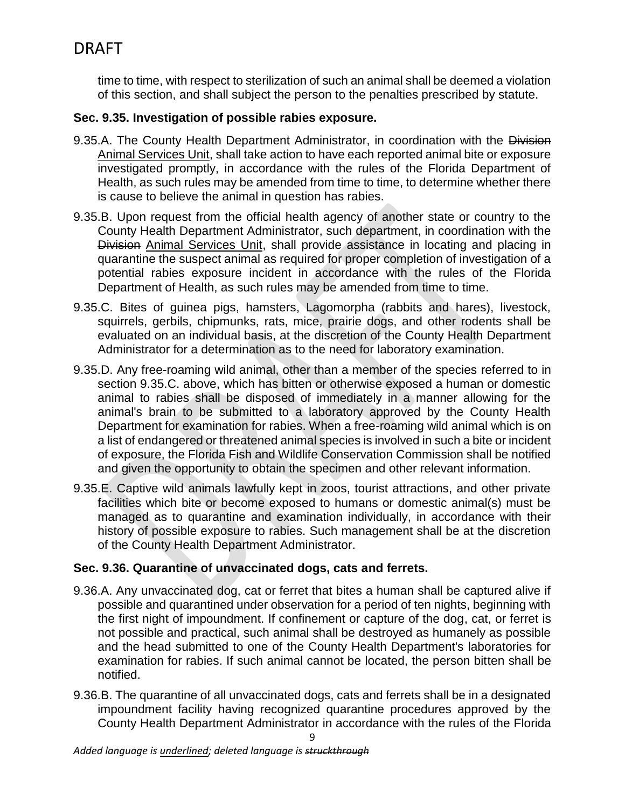time to time, with respect to sterilization of such an animal shall be deemed a violation of this section, and shall subject the person to the penalties prescribed by statute.

### **Sec. 9.35. Investigation of possible rabies exposure.**

- 9.35.A. The County Health Department Administrator, in coordination with the Division Animal Services Unit, shall take action to have each reported animal bite or exposure investigated promptly, in accordance with the rules of the Florida Department of Health, as such rules may be amended from time to time, to determine whether there is cause to believe the animal in question has rabies.
- 9.35.B. Upon request from the official health agency of another state or country to the County Health Department Administrator, such department, in coordination with the Division Animal Services Unit, shall provide assistance in locating and placing in quarantine the suspect animal as required for proper completion of investigation of a potential rabies exposure incident in accordance with the rules of the Florida Department of Health, as such rules may be amended from time to time.
- 9.35.C. Bites of guinea pigs, hamsters, Lagomorpha (rabbits and hares), livestock, squirrels, gerbils, chipmunks, rats, mice, prairie dogs, and other rodents shall be evaluated on an individual basis, at the discretion of the County Health Department Administrator for a determination as to the need for laboratory examination.
- 9.35.D. Any free-roaming wild animal, other than a member of the species referred to in section 9.35.C. above, which has bitten or otherwise exposed a human or domestic animal to rabies shall be disposed of immediately in a manner allowing for the animal's brain to be submitted to a laboratory approved by the County Health Department for examination for rabies. When a free-roaming wild animal which is on a list of endangered or threatened animal species is involved in such a bite or incident of exposure, the Florida Fish and Wildlife Conservation Commission shall be notified and given the opportunity to obtain the specimen and other relevant information.
- 9.35.E. Captive wild animals lawfully kept in zoos, tourist attractions, and other private facilities which bite or become exposed to humans or domestic animal(s) must be managed as to quarantine and examination individually, in accordance with their history of possible exposure to rabies. Such management shall be at the discretion of the County Health Department Administrator.

## **Sec. 9.36. Quarantine of unvaccinated dogs, cats and ferrets.**

- 9.36.A. Any unvaccinated dog, cat or ferret that bites a human shall be captured alive if possible and quarantined under observation for a period of ten nights, beginning with the first night of impoundment. If confinement or capture of the dog, cat, or ferret is not possible and practical, such animal shall be destroyed as humanely as possible and the head submitted to one of the County Health Department's laboratories for examination for rabies. If such animal cannot be located, the person bitten shall be notified.
- 9.36.B. The quarantine of all unvaccinated dogs, cats and ferrets shall be in a designated impoundment facility having recognized quarantine procedures approved by the County Health Department Administrator in accordance with the rules of the Florida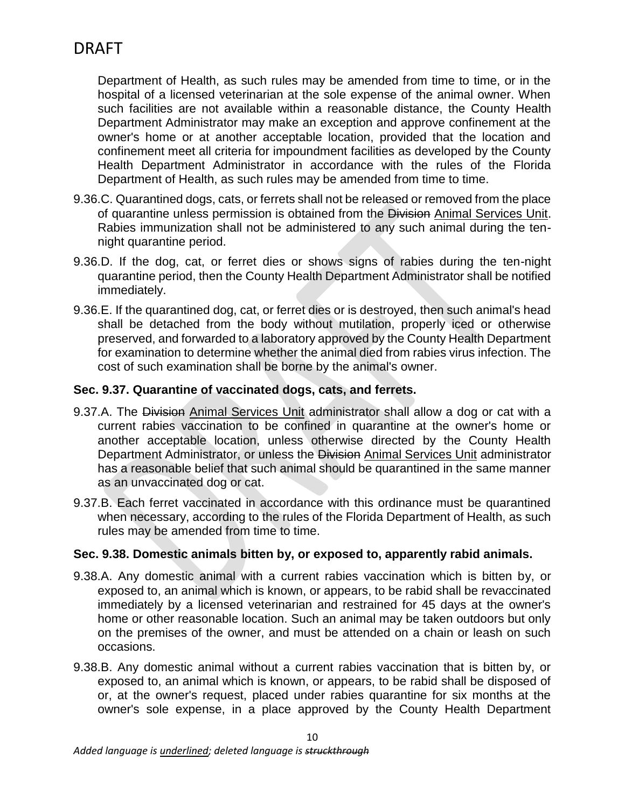Department of Health, as such rules may be amended from time to time, or in the hospital of a licensed veterinarian at the sole expense of the animal owner. When such facilities are not available within a reasonable distance, the County Health Department Administrator may make an exception and approve confinement at the owner's home or at another acceptable location, provided that the location and confinement meet all criteria for impoundment facilities as developed by the County Health Department Administrator in accordance with the rules of the Florida Department of Health, as such rules may be amended from time to time.

- 9.36.C. Quarantined dogs, cats, or ferrets shall not be released or removed from the place of quarantine unless permission is obtained from the Division Animal Services Unit. Rabies immunization shall not be administered to any such animal during the tennight quarantine period.
- 9.36.D. If the dog, cat, or ferret dies or shows signs of rabies during the ten-night quarantine period, then the County Health Department Administrator shall be notified immediately.
- 9.36.E. If the quarantined dog, cat, or ferret dies or is destroyed, then such animal's head shall be detached from the body without mutilation, properly iced or otherwise preserved, and forwarded to a laboratory approved by the County Health Department for examination to determine whether the animal died from rabies virus infection. The cost of such examination shall be borne by the animal's owner.

### **Sec. 9.37. Quarantine of vaccinated dogs, cats, and ferrets.**

- 9.37.A. The Division Animal Services Unit administrator shall allow a dog or cat with a current rabies vaccination to be confined in quarantine at the owner's home or another acceptable location, unless otherwise directed by the County Health Department Administrator, or unless the Division Animal Services Unit administrator has a reasonable belief that such animal should be quarantined in the same manner as an unvaccinated dog or cat.
- 9.37.B. Each ferret vaccinated in accordance with this ordinance must be quarantined when necessary, according to the rules of the Florida Department of Health, as such rules may be amended from time to time.

### **Sec. 9.38. Domestic animals bitten by, or exposed to, apparently rabid animals.**

- 9.38.A. Any domestic animal with a current rabies vaccination which is bitten by, or exposed to, an animal which is known, or appears, to be rabid shall be revaccinated immediately by a licensed veterinarian and restrained for 45 days at the owner's home or other reasonable location. Such an animal may be taken outdoors but only on the premises of the owner, and must be attended on a chain or leash on such occasions.
- 9.38.B. Any domestic animal without a current rabies vaccination that is bitten by, or exposed to, an animal which is known, or appears, to be rabid shall be disposed of or, at the owner's request, placed under rabies quarantine for six months at the owner's sole expense, in a place approved by the County Health Department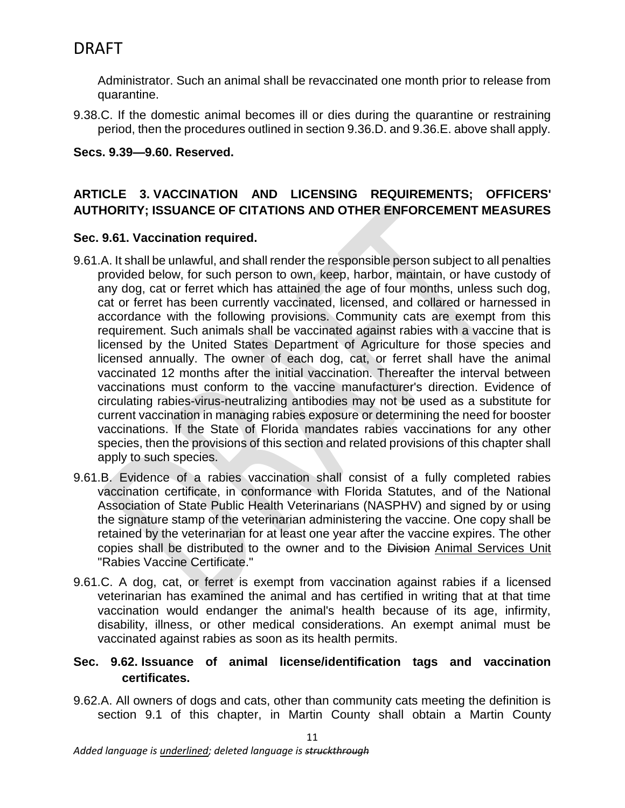Administrator. Such an animal shall be revaccinated one month prior to release from quarantine.

9.38.C. If the domestic animal becomes ill or dies during the quarantine or restraining period, then the procedures outlined in section 9.36.D. and 9.36.E. above shall apply.

### **Secs. 9.39—9.60. Reserved.**

## **ARTICLE 3. VACCINATION AND LICENSING REQUIREMENTS; OFFICERS' AUTHORITY; ISSUANCE OF CITATIONS AND OTHER ENFORCEMENT MEASURES**

### **Sec. 9.61. Vaccination required.**

- 9.61.A. It shall be unlawful, and shall render the responsible person subject to all penalties provided below, for such person to own, keep, harbor, maintain, or have custody of any dog, cat or ferret which has attained the age of four months, unless such dog, cat or ferret has been currently vaccinated, licensed, and collared or harnessed in accordance with the following provisions. Community cats are exempt from this requirement. Such animals shall be vaccinated against rabies with a vaccine that is licensed by the United States Department of Agriculture for those species and licensed annually. The owner of each dog, cat, or ferret shall have the animal vaccinated 12 months after the initial vaccination. Thereafter the interval between vaccinations must conform to the vaccine manufacturer's direction. Evidence of circulating rabies-virus-neutralizing antibodies may not be used as a substitute for current vaccination in managing rabies exposure or determining the need for booster vaccinations. If the State of Florida mandates rabies vaccinations for any other species, then the provisions of this section and related provisions of this chapter shall apply to such species.
- 9.61.B. Evidence of a rabies vaccination shall consist of a fully completed rabies vaccination certificate, in conformance with Florida Statutes, and of the National Association of State Public Health Veterinarians (NASPHV) and signed by or using the signature stamp of the veterinarian administering the vaccine. One copy shall be retained by the veterinarian for at least one year after the vaccine expires. The other copies shall be distributed to the owner and to the Division Animal Services Unit "Rabies Vaccine Certificate."
- 9.61.C. A dog, cat, or ferret is exempt from vaccination against rabies if a licensed veterinarian has examined the animal and has certified in writing that at that time vaccination would endanger the animal's health because of its age, infirmity, disability, illness, or other medical considerations. An exempt animal must be vaccinated against rabies as soon as its health permits.

### **Sec. 9.62. Issuance of animal license/identification tags and vaccination certificates.**

9.62.A. All owners of dogs and cats, other than community cats meeting the definition is section 9.1 of this chapter, in Martin County shall obtain a Martin County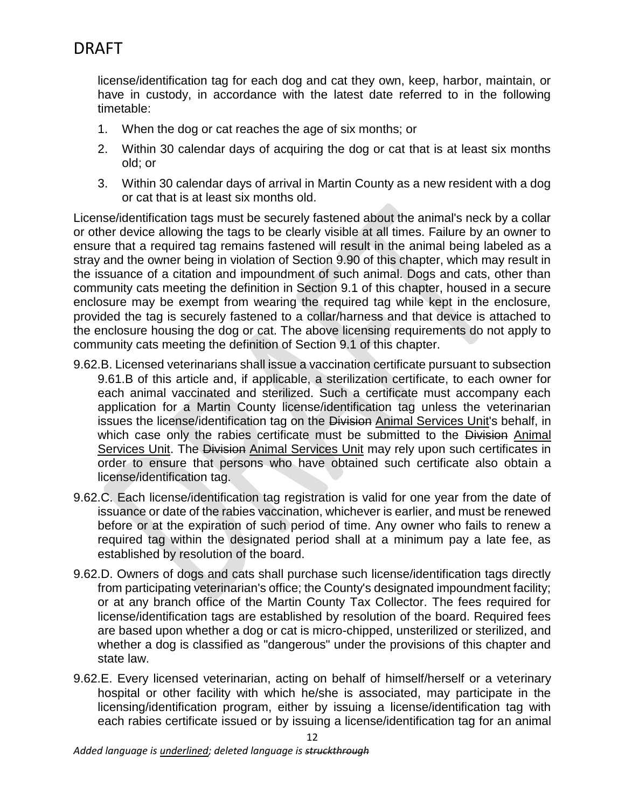license/identification tag for each dog and cat they own, keep, harbor, maintain, or have in custody, in accordance with the latest date referred to in the following timetable:

- 1. When the dog or cat reaches the age of six months; or
- 2. Within 30 calendar days of acquiring the dog or cat that is at least six months old; or
- 3. Within 30 calendar days of arrival in Martin County as a new resident with a dog or cat that is at least six months old.

License/identification tags must be securely fastened about the animal's neck by a collar or other device allowing the tags to be clearly visible at all times. Failure by an owner to ensure that a required tag remains fastened will result in the animal being labeled as a stray and the owner being in violation of Section 9.90 of this chapter, which may result in the issuance of a citation and impoundment of such animal. Dogs and cats, other than community cats meeting the definition in Section 9.1 of this chapter, housed in a secure enclosure may be exempt from wearing the required tag while kept in the enclosure, provided the tag is securely fastened to a collar/harness and that device is attached to the enclosure housing the dog or cat. The above licensing requirements do not apply to community cats meeting the definition of Section 9.1 of this chapter.

- 9.62.B. Licensed veterinarians shall issue a vaccination certificate pursuant to subsection 9.61.B of this article and, if applicable, a sterilization certificate, to each owner for each animal vaccinated and sterilized. Such a certificate must accompany each application for a Martin County license/identification tag unless the veterinarian issues the license/identification tag on the Division Animal Services Unit's behalf, in which case only the rabies certificate must be submitted to the Division Animal Services Unit. The Division Animal Services Unit may rely upon such certificates in order to ensure that persons who have obtained such certificate also obtain a license/identification tag.
- 9.62.C. Each license/identification tag registration is valid for one year from the date of issuance or date of the rabies vaccination, whichever is earlier, and must be renewed before or at the expiration of such period of time. Any owner who fails to renew a required tag within the designated period shall at a minimum pay a late fee, as established by resolution of the board.
- 9.62.D. Owners of dogs and cats shall purchase such license/identification tags directly from participating veterinarian's office; the County's designated impoundment facility; or at any branch office of the Martin County Tax Collector. The fees required for license/identification tags are established by resolution of the board. Required fees are based upon whether a dog or cat is micro-chipped, unsterilized or sterilized, and whether a dog is classified as "dangerous" under the provisions of this chapter and state law.
- 9.62.E. Every licensed veterinarian, acting on behalf of himself/herself or a veterinary hospital or other facility with which he/she is associated, may participate in the licensing/identification program, either by issuing a license/identification tag with each rabies certificate issued or by issuing a license/identification tag for an animal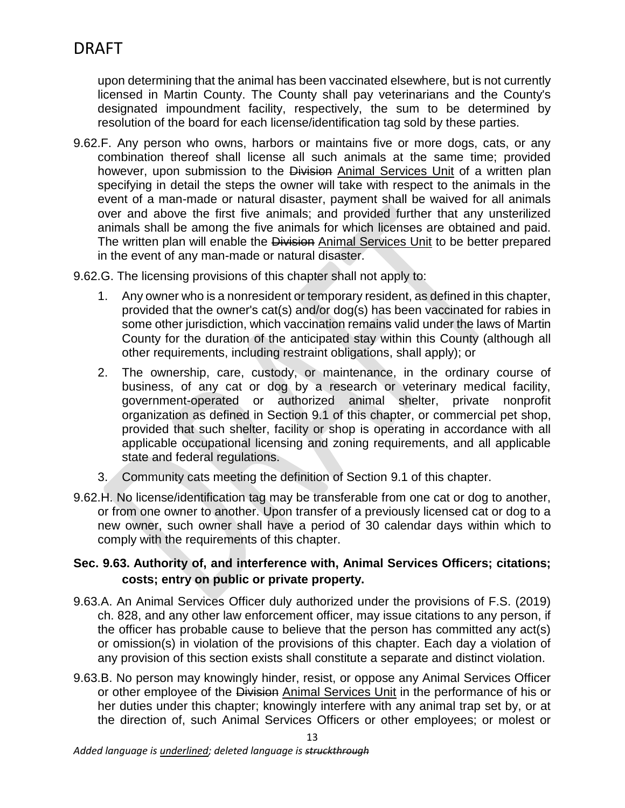upon determining that the animal has been vaccinated elsewhere, but is not currently licensed in Martin County. The County shall pay veterinarians and the County's designated impoundment facility, respectively, the sum to be determined by resolution of the board for each license/identification tag sold by these parties.

9.62.F. Any person who owns, harbors or maintains five or more dogs, cats, or any combination thereof shall license all such animals at the same time; provided however, upon submission to the Division Animal Services Unit of a written plan specifying in detail the steps the owner will take with respect to the animals in the event of a man-made or natural disaster, payment shall be waived for all animals over and above the first five animals; and provided further that any unsterilized animals shall be among the five animals for which licenses are obtained and paid. The written plan will enable the Division Animal Services Unit to be better prepared in the event of any man-made or natural disaster.

9.62.G. The licensing provisions of this chapter shall not apply to:

- 1. Any owner who is a nonresident or temporary resident, as defined in this chapter, provided that the owner's cat(s) and/or dog(s) has been vaccinated for rabies in some other jurisdiction, which vaccination remains valid under the laws of Martin County for the duration of the anticipated stay within this County (although all other requirements, including restraint obligations, shall apply); or
- 2. The ownership, care, custody, or maintenance, in the ordinary course of business, of any cat or dog by a research or veterinary medical facility, government-operated or authorized animal shelter, private nonprofit organization as defined in Section 9.1 of this chapter, or commercial pet shop, provided that such shelter, facility or shop is operating in accordance with all applicable occupational licensing and zoning requirements, and all applicable state and federal regulations.
- 3. Community cats meeting the definition of Section 9.1 of this chapter.
- 9.62.H. No license/identification tag may be transferable from one cat or dog to another, or from one owner to another. Upon transfer of a previously licensed cat or dog to a new owner, such owner shall have a period of 30 calendar days within which to comply with the requirements of this chapter.

## **Sec. 9.63. Authority of, and interference with, Animal Services Officers; citations; costs; entry on public or private property.**

- 9.63.A. An Animal Services Officer duly authorized under the provisions of F.S. (2019) ch. 828, and any other law enforcement officer, may issue citations to any person, if the officer has probable cause to believe that the person has committed any act(s) or omission(s) in violation of the provisions of this chapter. Each day a violation of any provision of this section exists shall constitute a separate and distinct violation.
- 9.63.B. No person may knowingly hinder, resist, or oppose any Animal Services Officer or other employee of the Division Animal Services Unit in the performance of his or her duties under this chapter; knowingly interfere with any animal trap set by, or at the direction of, such Animal Services Officers or other employees; or molest or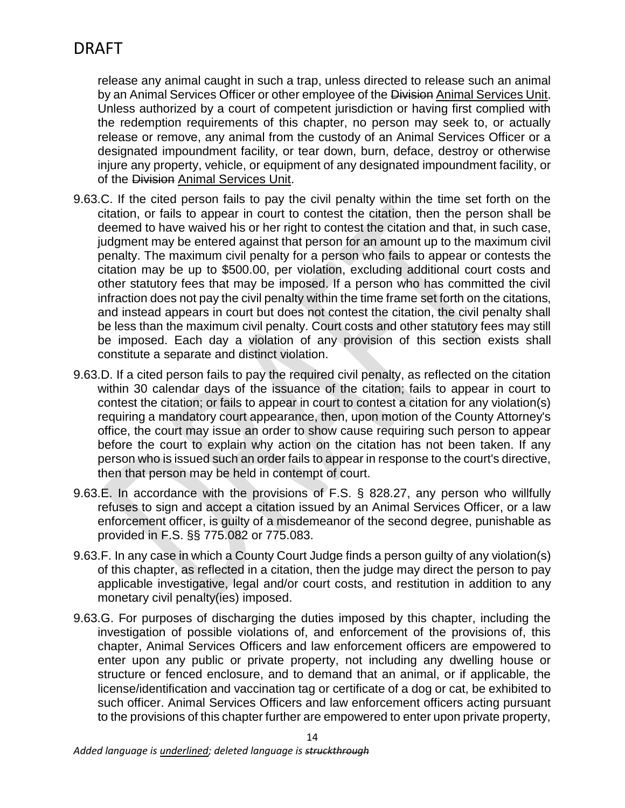release any animal caught in such a trap, unless directed to release such an animal by an Animal Services Officer or other employee of the Division Animal Services Unit. Unless authorized by a court of competent jurisdiction or having first complied with the redemption requirements of this chapter, no person may seek to, or actually release or remove, any animal from the custody of an Animal Services Officer or a designated impoundment facility, or tear down, burn, deface, destroy or otherwise injure any property, vehicle, or equipment of any designated impoundment facility, or of the Division Animal Services Unit.

- 9.63.C. If the cited person fails to pay the civil penalty within the time set forth on the citation, or fails to appear in court to contest the citation, then the person shall be deemed to have waived his or her right to contest the citation and that, in such case, judgment may be entered against that person for an amount up to the maximum civil penalty. The maximum civil penalty for a person who fails to appear or contests the citation may be up to \$500.00, per violation, excluding additional court costs and other statutory fees that may be imposed. If a person who has committed the civil infraction does not pay the civil penalty within the time frame set forth on the citations, and instead appears in court but does not contest the citation, the civil penalty shall be less than the maximum civil penalty. Court costs and other statutory fees may still be imposed. Each day a violation of any provision of this section exists shall constitute a separate and distinct violation.
- 9.63.D. If a cited person fails to pay the required civil penalty, as reflected on the citation within 30 calendar days of the issuance of the citation; fails to appear in court to contest the citation; or fails to appear in court to contest a citation for any violation(s) requiring a mandatory court appearance, then, upon motion of the County Attorney's office, the court may issue an order to show cause requiring such person to appear before the court to explain why action on the citation has not been taken. If any person who is issued such an order fails to appear in response to the court's directive, then that person may be held in contempt of court.
- 9.63.E. In accordance with the provisions of F.S. § 828.27, any person who willfully refuses to sign and accept a citation issued by an Animal Services Officer, or a law enforcement officer, is guilty of a misdemeanor of the second degree, punishable as provided in F.S. §§ 775.082 or 775.083.
- 9.63.F. In any case in which a County Court Judge finds a person guilty of any violation(s) of this chapter, as reflected in a citation, then the judge may direct the person to pay applicable investigative, legal and/or court costs, and restitution in addition to any monetary civil penalty(ies) imposed.
- 9.63.G. For purposes of discharging the duties imposed by this chapter, including the investigation of possible violations of, and enforcement of the provisions of, this chapter, Animal Services Officers and law enforcement officers are empowered to enter upon any public or private property, not including any dwelling house or structure or fenced enclosure, and to demand that an animal, or if applicable, the license/identification and vaccination tag or certificate of a dog or cat, be exhibited to such officer. Animal Services Officers and law enforcement officers acting pursuant to the provisions of this chapter further are empowered to enter upon private property,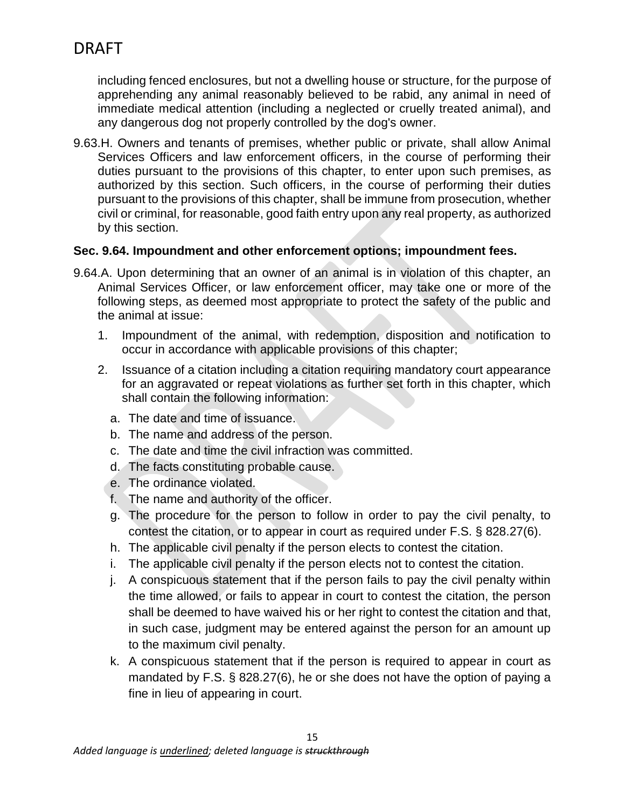including fenced enclosures, but not a dwelling house or structure, for the purpose of apprehending any animal reasonably believed to be rabid, any animal in need of immediate medical attention (including a neglected or cruelly treated animal), and any dangerous dog not properly controlled by the dog's owner.

9.63.H. Owners and tenants of premises, whether public or private, shall allow Animal Services Officers and law enforcement officers, in the course of performing their duties pursuant to the provisions of this chapter, to enter upon such premises, as authorized by this section. Such officers, in the course of performing their duties pursuant to the provisions of this chapter, shall be immune from prosecution, whether civil or criminal, for reasonable, good faith entry upon any real property, as authorized by this section.

## **Sec. 9.64. Impoundment and other enforcement options; impoundment fees.**

- 9.64.A. Upon determining that an owner of an animal is in violation of this chapter, an Animal Services Officer, or law enforcement officer, may take one or more of the following steps, as deemed most appropriate to protect the safety of the public and the animal at issue:
	- 1. Impoundment of the animal, with redemption, disposition and notification to occur in accordance with applicable provisions of this chapter;
	- 2. Issuance of a citation including a citation requiring mandatory court appearance for an aggravated or repeat violations as further set forth in this chapter, which shall contain the following information:
		- a. The date and time of issuance.
		- b. The name and address of the person.
		- c. The date and time the civil infraction was committed.
		- d. The facts constituting probable cause.
		- e. The ordinance violated.
		- f. The name and authority of the officer.
		- g. The procedure for the person to follow in order to pay the civil penalty, to contest the citation, or to appear in court as required under F.S. § 828.27(6).
		- h. The applicable civil penalty if the person elects to contest the citation.
		- i. The applicable civil penalty if the person elects not to contest the citation.
		- j. A conspicuous statement that if the person fails to pay the civil penalty within the time allowed, or fails to appear in court to contest the citation, the person shall be deemed to have waived his or her right to contest the citation and that, in such case, judgment may be entered against the person for an amount up to the maximum civil penalty.
		- k. A conspicuous statement that if the person is required to appear in court as mandated by F.S. § 828.27(6), he or she does not have the option of paying a fine in lieu of appearing in court.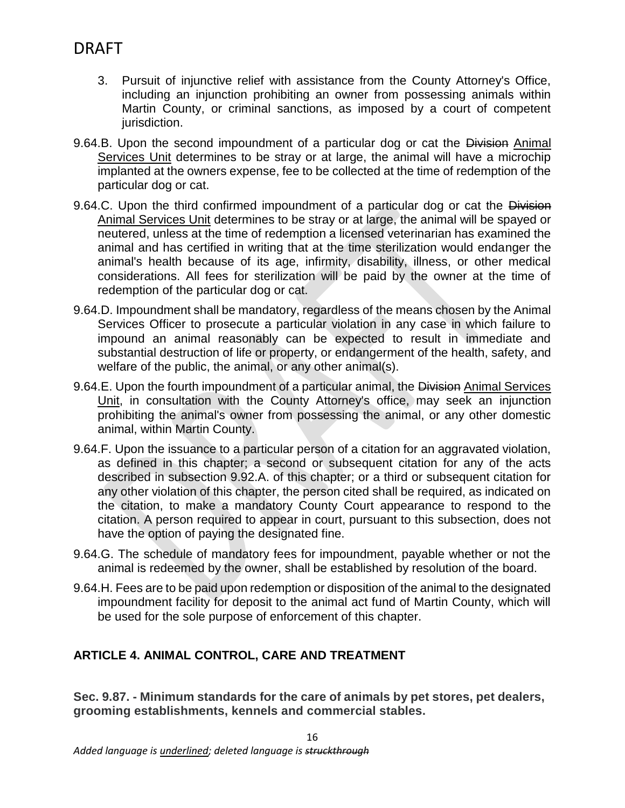- 3. Pursuit of injunctive relief with assistance from the County Attorney's Office, including an injunction prohibiting an owner from possessing animals within Martin County, or criminal sanctions, as imposed by a court of competent jurisdiction.
- 9.64.B. Upon the second impoundment of a particular dog or cat the Division Animal Services Unit determines to be stray or at large, the animal will have a microchip implanted at the owners expense, fee to be collected at the time of redemption of the particular dog or cat.
- 9.64.C. Upon the third confirmed impoundment of a particular dog or cat the Division Animal Services Unit determines to be stray or at large, the animal will be spayed or neutered, unless at the time of redemption a licensed veterinarian has examined the animal and has certified in writing that at the time sterilization would endanger the animal's health because of its age, infirmity, disability, illness, or other medical considerations. All fees for sterilization will be paid by the owner at the time of redemption of the particular dog or cat.
- 9.64.D. Impoundment shall be mandatory, regardless of the means chosen by the Animal Services Officer to prosecute a particular violation in any case in which failure to impound an animal reasonably can be expected to result in immediate and substantial destruction of life or property, or endangerment of the health, safety, and welfare of the public, the animal, or any other animal(s).
- 9.64.E. Upon the fourth impoundment of a particular animal, the Division Animal Services Unit, in consultation with the County Attorney's office, may seek an injunction prohibiting the animal's owner from possessing the animal, or any other domestic animal, within Martin County.
- 9.64.F. Upon the issuance to a particular person of a citation for an aggravated violation, as defined in this chapter; a second or subsequent citation for any of the acts described in subsection 9.92.A. of this chapter; or a third or subsequent citation for any other violation of this chapter, the person cited shall be required, as indicated on the citation, to make a mandatory County Court appearance to respond to the citation. A person required to appear in court, pursuant to this subsection, does not have the option of paying the designated fine.
- 9.64.G. The schedule of mandatory fees for impoundment, payable whether or not the animal is redeemed by the owner, shall be established by resolution of the board.
- 9.64.H. Fees are to be paid upon redemption or disposition of the animal to the designated impoundment facility for deposit to the animal act fund of Martin County, which will be used for the sole purpose of enforcement of this chapter.

## **ARTICLE 4. ANIMAL CONTROL, CARE AND TREATMENT**

**Sec. 9.87. - Minimum standards for the care of animals by pet stores, pet dealers, grooming establishments, kennels and commercial stables.**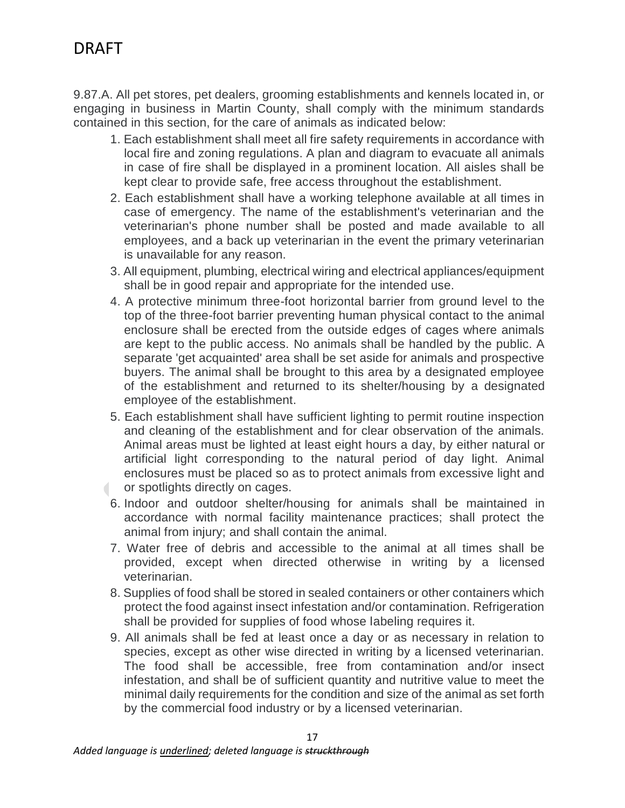9.87.A. All pet stores, pet dealers, grooming establishments and kennels located in, or engaging in business in Martin County, shall comply with the minimum standards contained in this section, for the care of animals as indicated below:

- 1. Each establishment shall meet all fire safety requirements in accordance with local fire and zoning regulations. A plan and diagram to evacuate all animals in case of fire shall be displayed in a prominent location. All aisles shall be kept clear to provide safe, free access throughout the establishment.
- 2. Each establishment shall have a working telephone available at all times in case of emergency. The name of the establishment's veterinarian and the veterinarian's phone number shall be posted and made available to all employees, and a back up veterinarian in the event the primary veterinarian is unavailable for any reason.
- 3. All equipment, plumbing, electrical wiring and electrical appliances/equipment shall be in good repair and appropriate for the intended use.
- 4. A protective minimum three-foot horizontal barrier from ground level to the top of the three-foot barrier preventing human physical contact to the animal enclosure shall be erected from the outside edges of cages where animals are kept to the public access. No animals shall be handled by the public. A separate 'get acquainted' area shall be set aside for animals and prospective buyers. The animal shall be brought to this area by a designated employee of the establishment and returned to its shelter/housing by a designated employee of the establishment.
- 5. Each establishment shall have sufficient lighting to permit routine inspection and cleaning of the establishment and for clear observation of the animals. Animal areas must be lighted at least eight hours a day, by either natural or artificial light corresponding to the natural period of day light. Animal enclosures must be placed so as to protect animals from excessive light and or spotlights directly on cages.  $\overline{\phantom{a}}$
- 6. Indoor and outdoor shelter/housing for animals shall be maintained in accordance with normal facility maintenance practices; shall protect the animal from injury; and shall contain the animal.
- 7. Water free of debris and accessible to the animal at all times shall be provided, except when directed otherwise in writing by a licensed veterinarian.
- 8. Supplies of food shall be stored in sealed containers or other containers which protect the food against insect infestation and/or contamination. Refrigeration shall be provided for supplies of food whose labeling requires it.
- 9. All animals shall be fed at least once a day or as necessary in relation to species, except as other wise directed in writing by a licensed veterinarian. The food shall be accessible, free from contamination and/or insect infestation, and shall be of sufficient quantity and nutritive value to meet the minimal daily requirements for the condition and size of the animal as set forth by the commercial food industry or by a licensed veterinarian.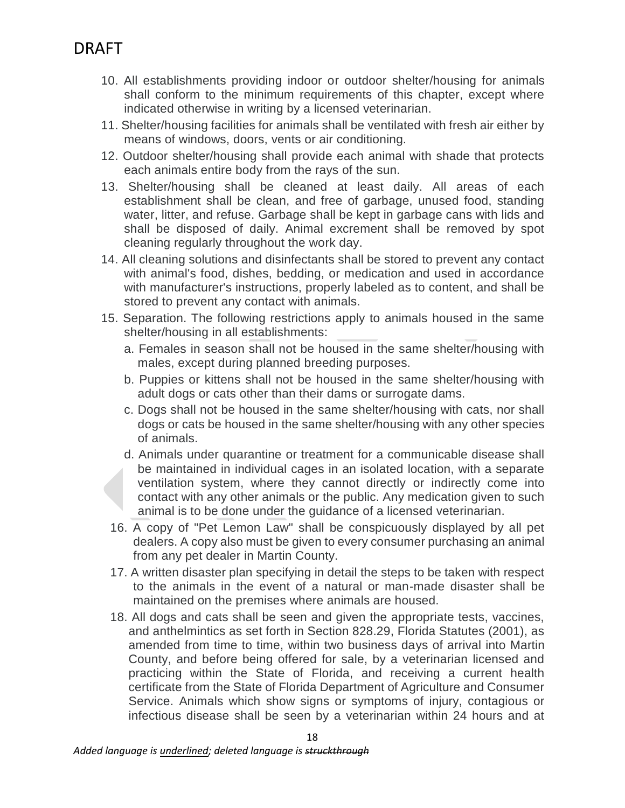- 10. All establishments providing indoor or outdoor shelter/housing for animals shall conform to the minimum requirements of this chapter, except where indicated otherwise in writing by a licensed veterinarian.
- 11. Shelter/housing facilities for animals shall be ventilated with fresh air either by means of windows, doors, vents or air conditioning.
- 12. Outdoor shelter/housing shall provide each animal with shade that protects each animals entire body from the rays of the sun.
- 13. Shelter/housing shall be cleaned at least daily. All areas of each establishment shall be clean, and free of garbage, unused food, standing water, litter, and refuse. Garbage shall be kept in garbage cans with lids and shall be disposed of daily. Animal excrement shall be removed by spot cleaning regularly throughout the work day.
- 14. All cleaning solutions and disinfectants shall be stored to prevent any contact with animal's food, dishes, bedding, or medication and used in accordance with manufacturer's instructions, properly labeled as to content, and shall be stored to prevent any contact with animals.
- 15. Separation. The following restrictions apply to animals housed in the same shelter/housing in all establishments:
	- a. Females in season shall not be housed in the same shelter/housing with males, except during planned breeding purposes.
	- b. Puppies or kittens shall not be housed in the same shelter/housing with adult dogs or cats other than their dams or surrogate dams.
	- c. Dogs shall not be housed in the same shelter/housing with cats, nor shall dogs or cats be housed in the same shelter/housing with any other species of animals.
	- d. Animals under quarantine or treatment for a communicable disease shall be maintained in individual cages in an isolated location, with a separate ventilation system, where they cannot directly or indirectly come into contact with any other animals or the public. Any medication given to such animal is to be done under the guidance of a licensed veterinarian.
	- 16. A copy of "Pet Lemon Law" shall be conspicuously displayed by all pet dealers. A copy also must be given to every consumer purchasing an animal from any pet dealer in Martin County.
	- 17. A written disaster plan specifying in detail the steps to be taken with respect to the animals in the event of a natural or man-made disaster shall be maintained on the premises where animals are housed.
	- 18. All dogs and cats shall be seen and given the appropriate tests, vaccines, and anthelmintics as set forth in Section 828.29, Florida Statutes (2001), as amended from time to time, within two business days of arrival into Martin County, and before being offered for sale, by a veterinarian licensed and practicing within the State of Florida, and receiving a current health certificate from the State of Florida Department of Agriculture and Consumer Service. Animals which show signs or symptoms of injury, contagious or infectious disease shall be seen by a veterinarian within 24 hours and at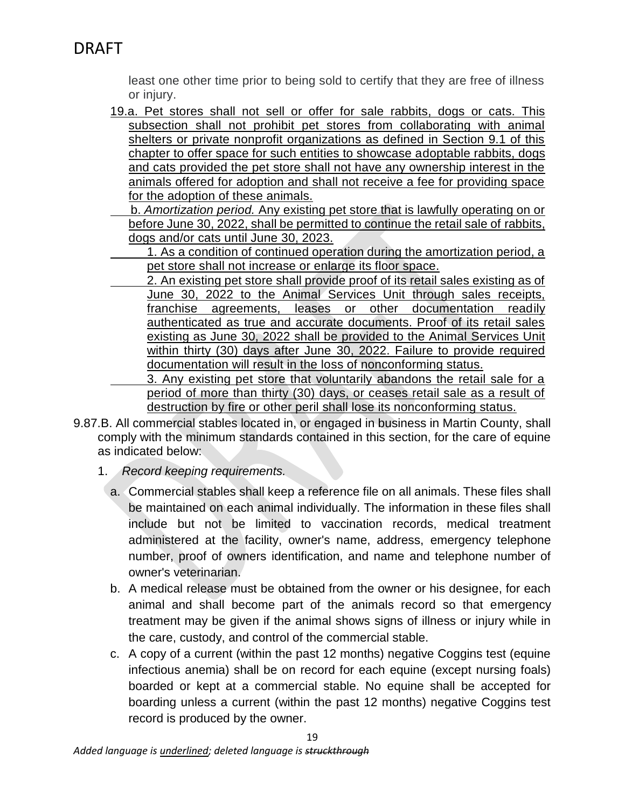least one other time prior to being sold to certify that they are free of illness or injury.

- 19.a. Pet stores shall not sell or offer for sale rabbits, dogs or cats. This subsection shall not prohibit pet stores from collaborating with animal shelters or private nonprofit organizations as defined in Section 9.1 of this chapter to offer space for such entities to showcase adoptable rabbits, dogs and cats provided the pet store shall not have any ownership interest in the animals offered for adoption and shall not receive a fee for providing space for the adoption of these animals.
	- b. *Amortization period.* Any existing pet store that is lawfully operating on or before June 30, 2022, shall be permitted to continue the retail sale of rabbits, dogs and/or cats until June 30, 2023.
	- 1. As a condition of continued operation during the amortization period, a pet store shall not increase or enlarge its floor space.
	- 2. An existing pet store shall provide proof of its retail sales existing as of June 30, 2022 to the Animal Services Unit through sales receipts, franchise agreements, leases or other documentation readily authenticated as true and accurate documents. Proof of its retail sales existing as June 30, 2022 shall be provided to the Animal Services Unit within thirty (30) days after June 30, 2022. Failure to provide required documentation will result in the loss of nonconforming status.

3. Any existing pet store that voluntarily abandons the retail sale for a period of more than thirty (30) days, or ceases retail sale as a result of destruction by fire or other peril shall lose its nonconforming status.

- 9.87.B. All commercial stables located in, or engaged in business in Martin County, shall comply with the minimum standards contained in this section, for the care of equine as indicated below:
	- 1. *Record keeping requirements.*
		- a. Commercial stables shall keep a reference file on all animals. These files shall be maintained on each animal individually. The information in these files shall include but not be limited to vaccination records, medical treatment administered at the facility, owner's name, address, emergency telephone number, proof of owners identification, and name and telephone number of owner's veterinarian.
		- b. A medical release must be obtained from the owner or his designee, for each animal and shall become part of the animals record so that emergency treatment may be given if the animal shows signs of illness or injury while in the care, custody, and control of the commercial stable.
		- c. A copy of a current (within the past 12 months) negative Coggins test (equine infectious anemia) shall be on record for each equine (except nursing foals) boarded or kept at a commercial stable. No equine shall be accepted for boarding unless a current (within the past 12 months) negative Coggins test record is produced by the owner.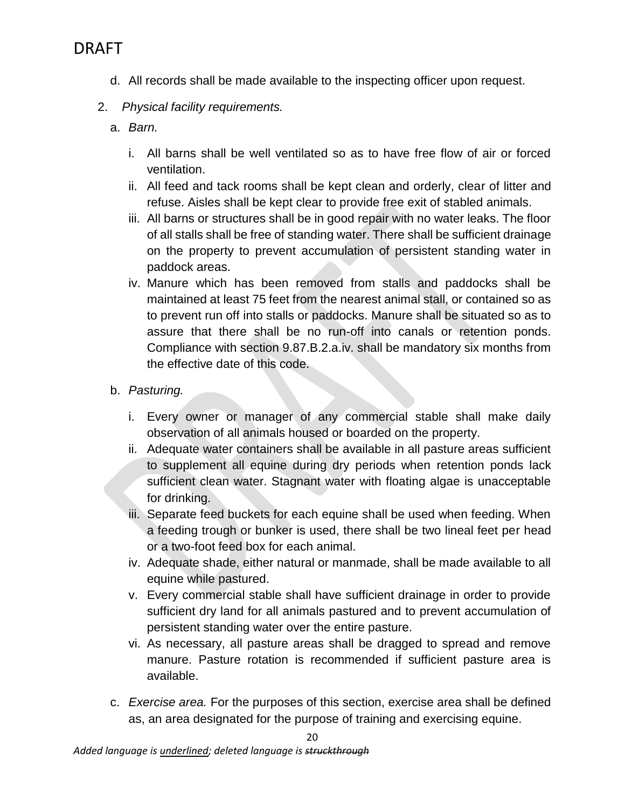- d. All records shall be made available to the inspecting officer upon request.
- 2. *Physical facility requirements.*
	- a. *Barn.*
		- i. All barns shall be well ventilated so as to have free flow of air or forced ventilation.
		- ii. All feed and tack rooms shall be kept clean and orderly, clear of litter and refuse. Aisles shall be kept clear to provide free exit of stabled animals.
		- iii. All barns or structures shall be in good repair with no water leaks. The floor of all stalls shall be free of standing water. There shall be sufficient drainage on the property to prevent accumulation of persistent standing water in paddock areas.
		- iv. Manure which has been removed from stalls and paddocks shall be maintained at least 75 feet from the nearest animal stall, or contained so as to prevent run off into stalls or paddocks. Manure shall be situated so as to assure that there shall be no run-off into canals or retention ponds. Compliance with section 9.87.B.2.a.iv. shall be mandatory six months from the effective date of this code.
	- b. *Pasturing.*
		- i. Every owner or manager of any commercial stable shall make daily observation of all animals housed or boarded on the property.
		- ii. Adequate water containers shall be available in all pasture areas sufficient to supplement all equine during dry periods when retention ponds lack sufficient clean water. Stagnant water with floating algae is unacceptable for drinking.
		- iii. Separate feed buckets for each equine shall be used when feeding. When a feeding trough or bunker is used, there shall be two lineal feet per head or a two-foot feed box for each animal.
		- iv. Adequate shade, either natural or manmade, shall be made available to all equine while pastured.
		- v. Every commercial stable shall have sufficient drainage in order to provide sufficient dry land for all animals pastured and to prevent accumulation of persistent standing water over the entire pasture.
		- vi. As necessary, all pasture areas shall be dragged to spread and remove manure. Pasture rotation is recommended if sufficient pasture area is available.
	- c. *Exercise area.* For the purposes of this section, exercise area shall be defined as, an area designated for the purpose of training and exercising equine.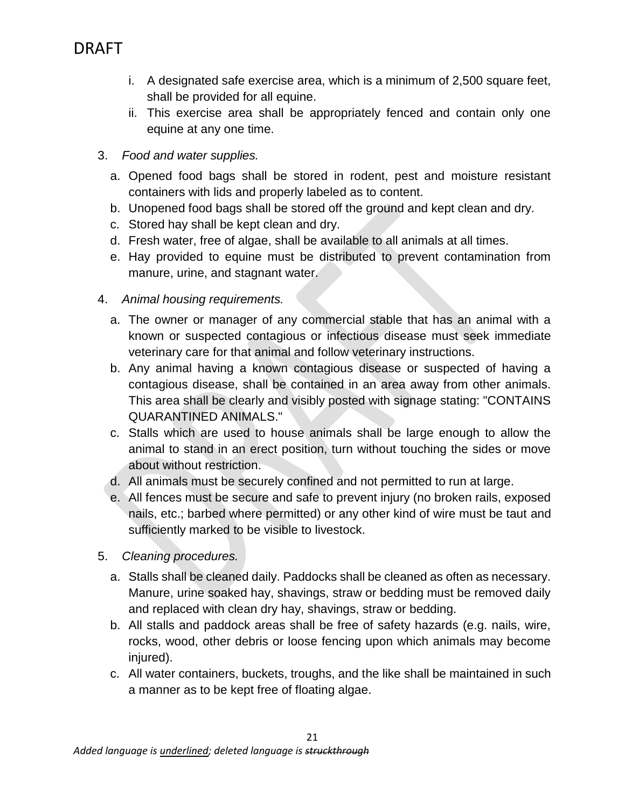- i. A designated safe exercise area, which is a minimum of 2,500 square feet, shall be provided for all equine.
- ii. This exercise area shall be appropriately fenced and contain only one equine at any one time.
- 3. *Food and water supplies.*
	- a. Opened food bags shall be stored in rodent, pest and moisture resistant containers with lids and properly labeled as to content.
	- b. Unopened food bags shall be stored off the ground and kept clean and dry.
	- c. Stored hay shall be kept clean and dry.
	- d. Fresh water, free of algae, shall be available to all animals at all times.
	- e. Hay provided to equine must be distributed to prevent contamination from manure, urine, and stagnant water.
- 4. *Animal housing requirements.*
	- a. The owner or manager of any commercial stable that has an animal with a known or suspected contagious or infectious disease must seek immediate veterinary care for that animal and follow veterinary instructions.
	- b. Any animal having a known contagious disease or suspected of having a contagious disease, shall be contained in an area away from other animals. This area shall be clearly and visibly posted with signage stating: "CONTAINS QUARANTINED ANIMALS."
	- c. Stalls which are used to house animals shall be large enough to allow the animal to stand in an erect position, turn without touching the sides or move about without restriction.
	- d. All animals must be securely confined and not permitted to run at large.
	- e. All fences must be secure and safe to prevent injury (no broken rails, exposed nails, etc.; barbed where permitted) or any other kind of wire must be taut and sufficiently marked to be visible to livestock.
- 5. *Cleaning procedures.*
	- a. Stalls shall be cleaned daily. Paddocks shall be cleaned as often as necessary. Manure, urine soaked hay, shavings, straw or bedding must be removed daily and replaced with clean dry hay, shavings, straw or bedding.
	- b. All stalls and paddock areas shall be free of safety hazards (e.g. nails, wire, rocks, wood, other debris or loose fencing upon which animals may become iniured).
	- c. All water containers, buckets, troughs, and the like shall be maintained in such a manner as to be kept free of floating algae.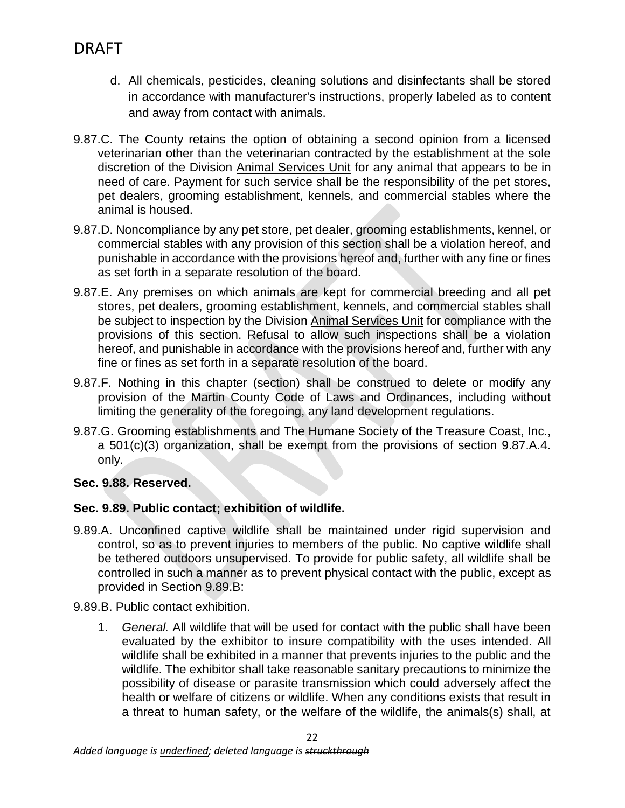- d. All chemicals, pesticides, cleaning solutions and disinfectants shall be stored in accordance with manufacturer's instructions, properly labeled as to content and away from contact with animals.
- 9.87.C. The County retains the option of obtaining a second opinion from a licensed veterinarian other than the veterinarian contracted by the establishment at the sole discretion of the Division Animal Services Unit for any animal that appears to be in need of care. Payment for such service shall be the responsibility of the pet stores, pet dealers, grooming establishment, kennels, and commercial stables where the animal is housed.
- 9.87.D. Noncompliance by any pet store, pet dealer, grooming establishments, kennel, or commercial stables with any provision of this section shall be a violation hereof, and punishable in accordance with the provisions hereof and, further with any fine or fines as set forth in a separate resolution of the board.
- 9.87.E. Any premises on which animals are kept for commercial breeding and all pet stores, pet dealers, grooming establishment, kennels, and commercial stables shall be subject to inspection by the Division Animal Services Unit for compliance with the provisions of this section. Refusal to allow such inspections shall be a violation hereof, and punishable in accordance with the provisions hereof and, further with any fine or fines as set forth in a separate resolution of the board.
- 9.87.F. Nothing in this chapter (section) shall be construed to delete or modify any provision of the Martin County Code of Laws and Ordinances, including without limiting the generality of the foregoing, any land development regulations.
- 9.87.G. Grooming establishments and The Humane Society of the Treasure Coast, Inc., a 501(c)(3) organization, shall be exempt from the provisions of section 9.87.A.4. only.

## **Sec. 9.88. Reserved.**

## **Sec. 9.89. Public contact; exhibition of wildlife.**

9.89.A. Unconfined captive wildlife shall be maintained under rigid supervision and control, so as to prevent injuries to members of the public. No captive wildlife shall be tethered outdoors unsupervised. To provide for public safety, all wildlife shall be controlled in such a manner as to prevent physical contact with the public, except as provided in Section 9.89.B:

9.89.B. Public contact exhibition.

1. *General.* All wildlife that will be used for contact with the public shall have been evaluated by the exhibitor to insure compatibility with the uses intended. All wildlife shall be exhibited in a manner that prevents injuries to the public and the wildlife. The exhibitor shall take reasonable sanitary precautions to minimize the possibility of disease or parasite transmission which could adversely affect the health or welfare of citizens or wildlife. When any conditions exists that result in a threat to human safety, or the welfare of the wildlife, the animals(s) shall, at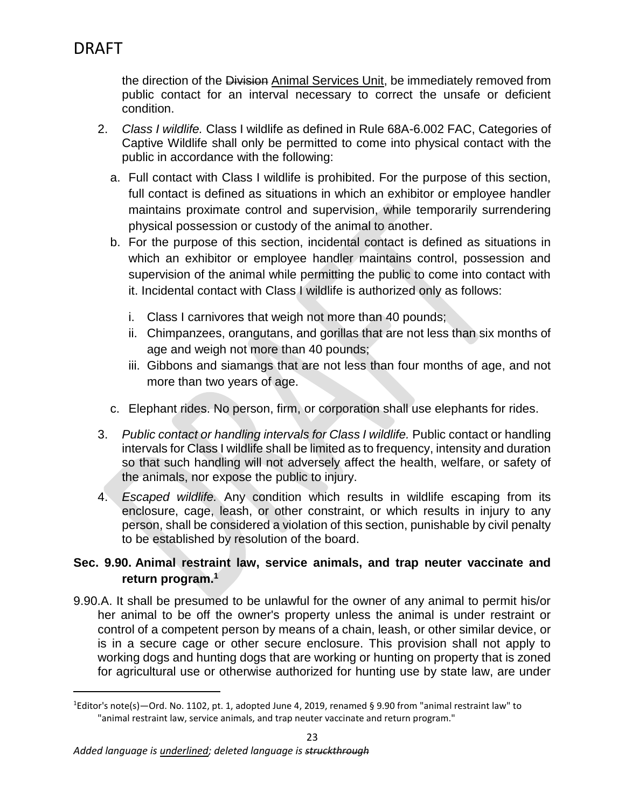$\overline{\phantom{a}}$ 

the direction of the Division Animal Services Unit, be immediately removed from public contact for an interval necessary to correct the unsafe or deficient condition.

- 2. *Class I wildlife.* Class I wildlife as defined in Rule 68A-6.002 FAC, Categories of Captive Wildlife shall only be permitted to come into physical contact with the public in accordance with the following:
	- a. Full contact with Class I wildlife is prohibited. For the purpose of this section, full contact is defined as situations in which an exhibitor or employee handler maintains proximate control and supervision, while temporarily surrendering physical possession or custody of the animal to another.
	- b. For the purpose of this section, incidental contact is defined as situations in which an exhibitor or employee handler maintains control, possession and supervision of the animal while permitting the public to come into contact with it. Incidental contact with Class I wildlife is authorized only as follows:
		- i. Class I carnivores that weigh not more than 40 pounds;
		- ii. Chimpanzees, orangutans, and gorillas that are not less than six months of age and weigh not more than 40 pounds;
		- iii. Gibbons and siamangs that are not less than four months of age, and not more than two years of age.
	- c. Elephant rides. No person, firm, or corporation shall use elephants for rides.
- 3. *Public contact or handling intervals for Class I wildlife.* Public contact or handling intervals for Class I wildlife shall be limited as to frequency, intensity and duration so that such handling will not adversely affect the health, welfare, or safety of the animals, nor expose the public to injury.
- 4. *Escaped wildlife.* Any condition which results in wildlife escaping from its enclosure, cage, leash, or other constraint, or which results in injury to any person, shall be considered a violation of this section, punishable by civil penalty to be established by resolution of the board.

## **Sec. 9.90. Animal restraint law, service animals, and trap neuter vaccinate and return program.<sup>1</sup>**

9.90.A. It shall be presumed to be unlawful for the owner of any animal to permit his/or her animal to be off the owner's property unless the animal is under restraint or control of a competent person by means of a chain, leash, or other similar device, or is in a secure cage or other secure enclosure. This provision shall not apply to working dogs and hunting dogs that are working or hunting on property that is zoned for agricultural use or otherwise authorized for hunting use by state law, are under

<sup>1</sup>Editor's note(s)—Ord. No. 1102, pt. 1, adopted June 4, 2019, renamed § 9.90 from "animal restraint law" to "animal restraint law, service animals, and trap neuter vaccinate and return program."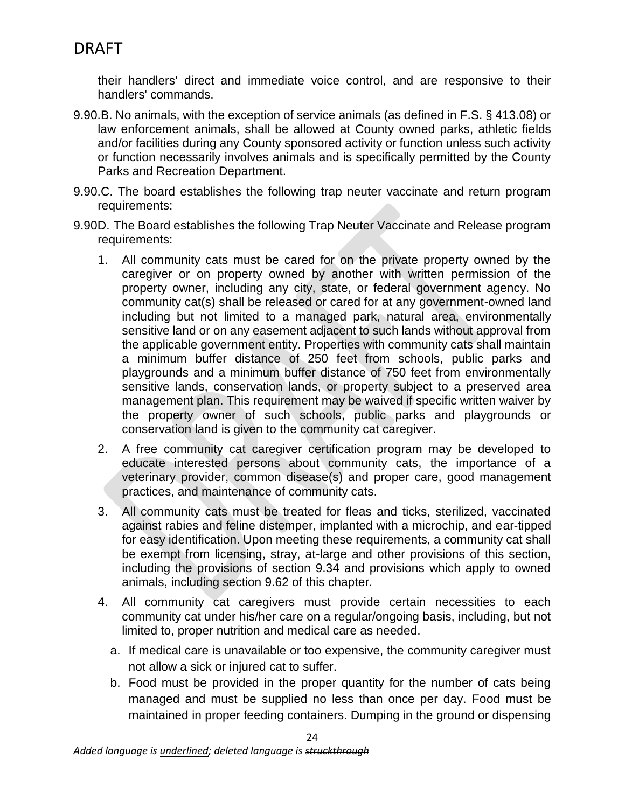their handlers' direct and immediate voice control, and are responsive to their handlers' commands.

- 9.90.B. No animals, with the exception of service animals (as defined in F.S. § 413.08) or law enforcement animals, shall be allowed at County owned parks, athletic fields and/or facilities during any County sponsored activity or function unless such activity or function necessarily involves animals and is specifically permitted by the County Parks and Recreation Department.
- 9.90.C. The board establishes the following trap neuter vaccinate and return program requirements:
- 9.90D. The Board establishes the following Trap Neuter Vaccinate and Release program requirements:
	- 1. All community cats must be cared for on the private property owned by the caregiver or on property owned by another with written permission of the property owner, including any city, state, or federal government agency. No community cat(s) shall be released or cared for at any government-owned land including but not limited to a managed park, natural area, environmentally sensitive land or on any easement adjacent to such lands without approval from the applicable government entity. Properties with community cats shall maintain a minimum buffer distance of 250 feet from schools, public parks and playgrounds and a minimum buffer distance of 750 feet from environmentally sensitive lands, conservation lands, or property subject to a preserved area management plan. This requirement may be waived if specific written waiver by the property owner of such schools, public parks and playgrounds or conservation land is given to the community cat caregiver.
	- 2. A free community cat caregiver certification program may be developed to educate interested persons about community cats, the importance of a veterinary provider, common disease(s) and proper care, good management practices, and maintenance of community cats.
	- 3. All community cats must be treated for fleas and ticks, sterilized, vaccinated against rabies and feline distemper, implanted with a microchip, and ear-tipped for easy identification. Upon meeting these requirements, a community cat shall be exempt from licensing, stray, at-large and other provisions of this section, including the provisions of section 9.34 and provisions which apply to owned animals, including section 9.62 of this chapter.
	- 4. All community cat caregivers must provide certain necessities to each community cat under his/her care on a regular/ongoing basis, including, but not limited to, proper nutrition and medical care as needed.
		- a. If medical care is unavailable or too expensive, the community caregiver must not allow a sick or injured cat to suffer.
		- b. Food must be provided in the proper quantity for the number of cats being managed and must be supplied no less than once per day. Food must be maintained in proper feeding containers. Dumping in the ground or dispensing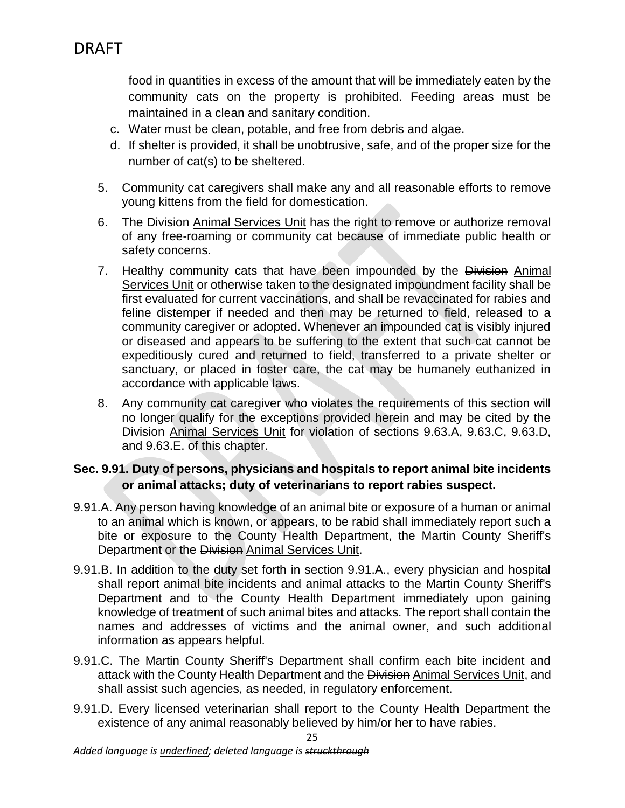food in quantities in excess of the amount that will be immediately eaten by the community cats on the property is prohibited. Feeding areas must be maintained in a clean and sanitary condition.

- c. Water must be clean, potable, and free from debris and algae.
- d. If shelter is provided, it shall be unobtrusive, safe, and of the proper size for the number of cat(s) to be sheltered.
- 5. Community cat caregivers shall make any and all reasonable efforts to remove young kittens from the field for domestication.
- 6. The Division Animal Services Unit has the right to remove or authorize removal of any free-roaming or community cat because of immediate public health or safety concerns.
- 7. Healthy community cats that have been impounded by the Division Animal Services Unit or otherwise taken to the designated impoundment facility shall be first evaluated for current vaccinations, and shall be revaccinated for rabies and feline distemper if needed and then may be returned to field, released to a community caregiver or adopted. Whenever an impounded cat is visibly injured or diseased and appears to be suffering to the extent that such cat cannot be expeditiously cured and returned to field, transferred to a private shelter or sanctuary, or placed in foster care, the cat may be humanely euthanized in accordance with applicable laws.
- 8. Any community cat caregiver who violates the requirements of this section will no longer qualify for the exceptions provided herein and may be cited by the Division Animal Services Unit for violation of sections 9.63.A, 9.63.C, 9.63.D, and 9.63.E. of this chapter.

### **Sec. 9.91. Duty of persons, physicians and hospitals to report animal bite incidents or animal attacks; duty of veterinarians to report rabies suspect.**

- 9.91.A. Any person having knowledge of an animal bite or exposure of a human or animal to an animal which is known, or appears, to be rabid shall immediately report such a bite or exposure to the County Health Department, the Martin County Sheriff's Department or the Division Animal Services Unit.
- 9.91.B. In addition to the duty set forth in section 9.91.A., every physician and hospital shall report animal bite incidents and animal attacks to the Martin County Sheriff's Department and to the County Health Department immediately upon gaining knowledge of treatment of such animal bites and attacks. The report shall contain the names and addresses of victims and the animal owner, and such additional information as appears helpful.
- 9.91.C. The Martin County Sheriff's Department shall confirm each bite incident and attack with the County Health Department and the Division Animal Services Unit, and shall assist such agencies, as needed, in regulatory enforcement.
- 9.91.D. Every licensed veterinarian shall report to the County Health Department the existence of any animal reasonably believed by him/or her to have rabies.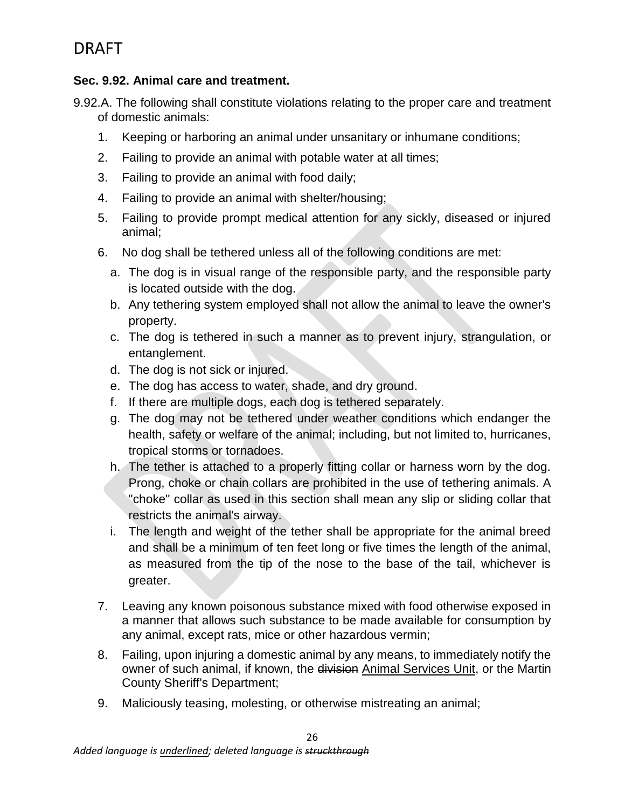## **Sec. 9.92. Animal care and treatment.**

9.92.A. The following shall constitute violations relating to the proper care and treatment of domestic animals:

- 1. Keeping or harboring an animal under unsanitary or inhumane conditions;
- 2. Failing to provide an animal with potable water at all times;
- 3. Failing to provide an animal with food daily;
- 4. Failing to provide an animal with shelter/housing;
- 5. Failing to provide prompt medical attention for any sickly, diseased or injured animal;
- 6. No dog shall be tethered unless all of the following conditions are met:
	- a. The dog is in visual range of the responsible party, and the responsible party is located outside with the dog.
	- b. Any tethering system employed shall not allow the animal to leave the owner's property.
	- c. The dog is tethered in such a manner as to prevent injury, strangulation, or entanglement.
	- d. The dog is not sick or injured.
	- e. The dog has access to water, shade, and dry ground.
	- f. If there are multiple dogs, each dog is tethered separately.
	- g. The dog may not be tethered under weather conditions which endanger the health, safety or welfare of the animal; including, but not limited to, hurricanes, tropical storms or tornadoes.
	- h. The tether is attached to a properly fitting collar or harness worn by the dog. Prong, choke or chain collars are prohibited in the use of tethering animals. A "choke" collar as used in this section shall mean any slip or sliding collar that restricts the animal's airway.
	- i. The length and weight of the tether shall be appropriate for the animal breed and shall be a minimum of ten feet long or five times the length of the animal, as measured from the tip of the nose to the base of the tail, whichever is greater.
- 7. Leaving any known poisonous substance mixed with food otherwise exposed in a manner that allows such substance to be made available for consumption by any animal, except rats, mice or other hazardous vermin;
- 8. Failing, upon injuring a domestic animal by any means, to immediately notify the owner of such animal, if known, the division Animal Services Unit, or the Martin County Sheriff's Department;
- 9. Maliciously teasing, molesting, or otherwise mistreating an animal;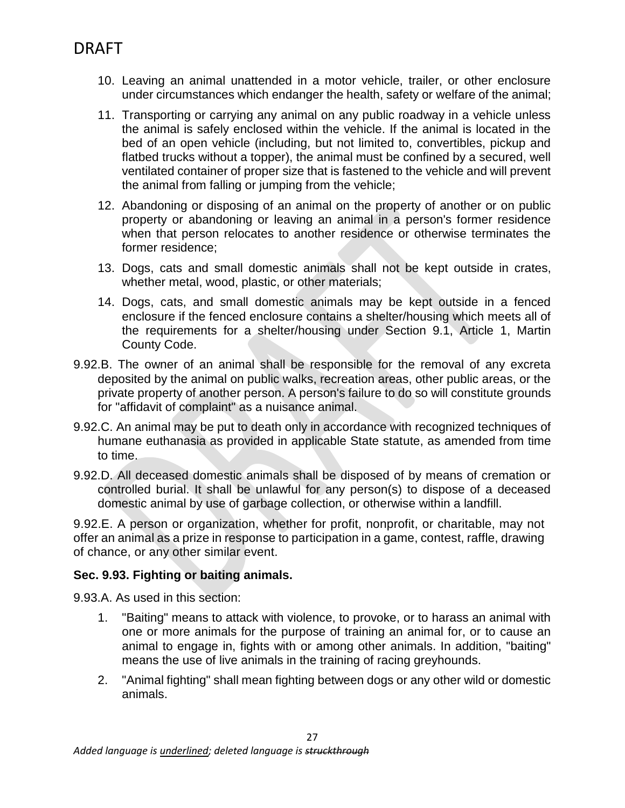- 10. Leaving an animal unattended in a motor vehicle, trailer, or other enclosure under circumstances which endanger the health, safety or welfare of the animal;
- 11. Transporting or carrying any animal on any public roadway in a vehicle unless the animal is safely enclosed within the vehicle. If the animal is located in the bed of an open vehicle (including, but not limited to, convertibles, pickup and flatbed trucks without a topper), the animal must be confined by a secured, well ventilated container of proper size that is fastened to the vehicle and will prevent the animal from falling or jumping from the vehicle;
- 12. Abandoning or disposing of an animal on the property of another or on public property or abandoning or leaving an animal in a person's former residence when that person relocates to another residence or otherwise terminates the former residence;
- 13. Dogs, cats and small domestic animals shall not be kept outside in crates, whether metal, wood, plastic, or other materials;
- 14. Dogs, cats, and small domestic animals may be kept outside in a fenced enclosure if the fenced enclosure contains a shelter/housing which meets all of the requirements for a shelter/housing under Section 9.1, Article 1, Martin County Code.
- 9.92.B. The owner of an animal shall be responsible for the removal of any excreta deposited by the animal on public walks, recreation areas, other public areas, or the private property of another person. A person's failure to do so will constitute grounds for "affidavit of complaint" as a nuisance animal.
- 9.92.C. An animal may be put to death only in accordance with recognized techniques of humane euthanasia as provided in applicable State statute, as amended from time to time.
- 9.92.D. All deceased domestic animals shall be disposed of by means of cremation or controlled burial. It shall be unlawful for any person(s) to dispose of a deceased domestic animal by use of garbage collection, or otherwise within a landfill.

9.92.E. A person or organization, whether for profit, nonprofit, or charitable, may not offer an animal as a prize in response to participation in a game, contest, raffle, drawing of chance, or any other similar event.

## **Sec. 9.93. Fighting or baiting animals.**

9.93.A. As used in this section:

- 1. "Baiting" means to attack with violence, to provoke, or to harass an animal with one or more animals for the purpose of training an animal for, or to cause an animal to engage in, fights with or among other animals. In addition, "baiting" means the use of live animals in the training of racing greyhounds.
- 2. "Animal fighting" shall mean fighting between dogs or any other wild or domestic animals.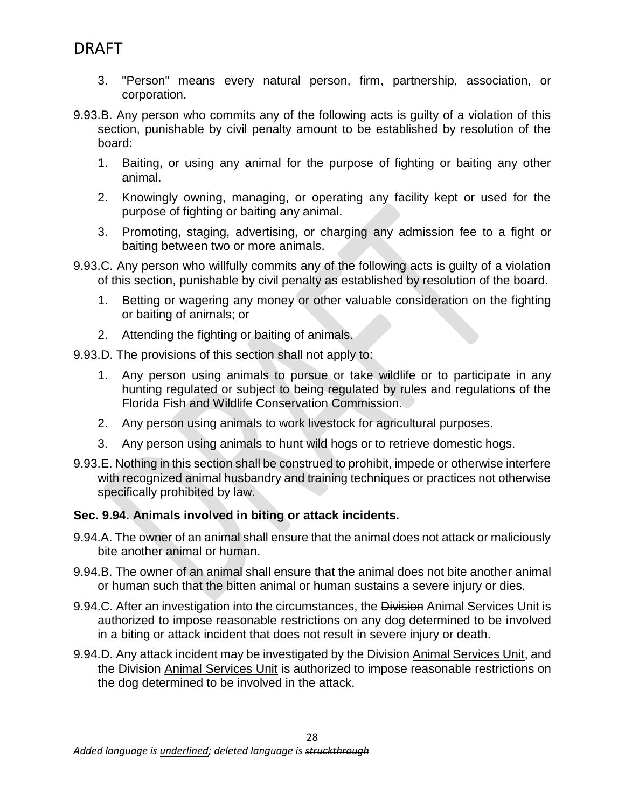- 3. "Person" means every natural person, firm, partnership, association, or corporation.
- 9.93.B. Any person who commits any of the following acts is guilty of a violation of this section, punishable by civil penalty amount to be established by resolution of the board:
	- 1. Baiting, or using any animal for the purpose of fighting or baiting any other animal.
	- 2. Knowingly owning, managing, or operating any facility kept or used for the purpose of fighting or baiting any animal.
	- 3. Promoting, staging, advertising, or charging any admission fee to a fight or baiting between two or more animals.
- 9.93.C. Any person who willfully commits any of the following acts is guilty of a violation of this section, punishable by civil penalty as established by resolution of the board.
	- 1. Betting or wagering any money or other valuable consideration on the fighting or baiting of animals; or
	- 2. Attending the fighting or baiting of animals.
- 9.93.D. The provisions of this section shall not apply to:
	- 1. Any person using animals to pursue or take wildlife or to participate in any hunting regulated or subject to being regulated by rules and regulations of the Florida Fish and Wildlife Conservation Commission.
	- 2. Any person using animals to work livestock for agricultural purposes.
	- 3. Any person using animals to hunt wild hogs or to retrieve domestic hogs.
- 9.93.E. Nothing in this section shall be construed to prohibit, impede or otherwise interfere with recognized animal husbandry and training techniques or practices not otherwise specifically prohibited by law.

## **Sec. 9.94. Animals involved in biting or attack incidents.**

- 9.94.A. The owner of an animal shall ensure that the animal does not attack or maliciously bite another animal or human.
- 9.94.B. The owner of an animal shall ensure that the animal does not bite another animal or human such that the bitten animal or human sustains a severe injury or dies.
- 9.94.C. After an investigation into the circumstances, the Division Animal Services Unit is authorized to impose reasonable restrictions on any dog determined to be involved in a biting or attack incident that does not result in severe injury or death.
- 9.94.D. Any attack incident may be investigated by the Division Animal Services Unit, and the Division Animal Services Unit is authorized to impose reasonable restrictions on the dog determined to be involved in the attack.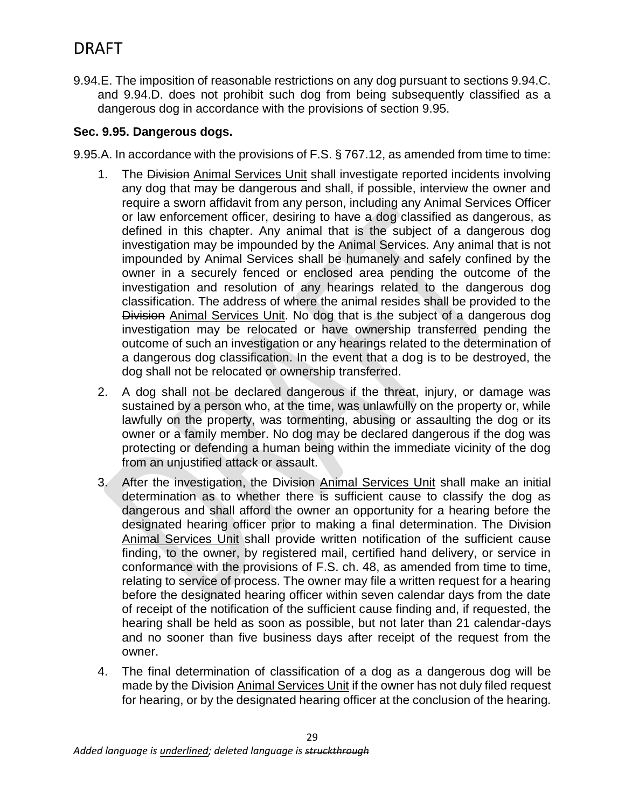9.94.E. The imposition of reasonable restrictions on any dog pursuant to sections 9.94.C. and 9.94.D. does not prohibit such dog from being subsequently classified as a dangerous dog in accordance with the provisions of section 9.95.

### **Sec. 9.95. Dangerous dogs.**

9.95.A. In accordance with the provisions of F.S. § 767.12, as amended from time to time:

- 1. The Division Animal Services Unit shall investigate reported incidents involving any dog that may be dangerous and shall, if possible, interview the owner and require a sworn affidavit from any person, including any Animal Services Officer or law enforcement officer, desiring to have a dog classified as dangerous, as defined in this chapter. Any animal that is the subject of a dangerous dog investigation may be impounded by the Animal Services. Any animal that is not impounded by Animal Services shall be humanely and safely confined by the owner in a securely fenced or enclosed area pending the outcome of the investigation and resolution of any hearings related to the dangerous dog classification. The address of where the animal resides shall be provided to the Division Animal Services Unit. No dog that is the subject of a dangerous dog investigation may be relocated or have ownership transferred pending the outcome of such an investigation or any hearings related to the determination of a dangerous dog classification. In the event that a dog is to be destroyed, the dog shall not be relocated or ownership transferred.
- 2. A dog shall not be declared dangerous if the threat, injury, or damage was sustained by a person who, at the time, was unlawfully on the property or, while lawfully on the property, was tormenting, abusing or assaulting the dog or its owner or a family member. No dog may be declared dangerous if the dog was protecting or defending a human being within the immediate vicinity of the dog from an unjustified attack or assault.
- 3. After the investigation, the Division Animal Services Unit shall make an initial determination as to whether there is sufficient cause to classify the dog as dangerous and shall afford the owner an opportunity for a hearing before the designated hearing officer prior to making a final determination. The Division Animal Services Unit shall provide written notification of the sufficient cause finding, to the owner, by registered mail, certified hand delivery, or service in conformance with the provisions of F.S. ch. 48, as amended from time to time, relating to service of process. The owner may file a written request for a hearing before the designated hearing officer within seven calendar days from the date of receipt of the notification of the sufficient cause finding and, if requested, the hearing shall be held as soon as possible, but not later than 21 calendar-days and no sooner than five business days after receipt of the request from the owner.
- 4. The final determination of classification of a dog as a dangerous dog will be made by the Division Animal Services Unit if the owner has not duly filed request for hearing, or by the designated hearing officer at the conclusion of the hearing.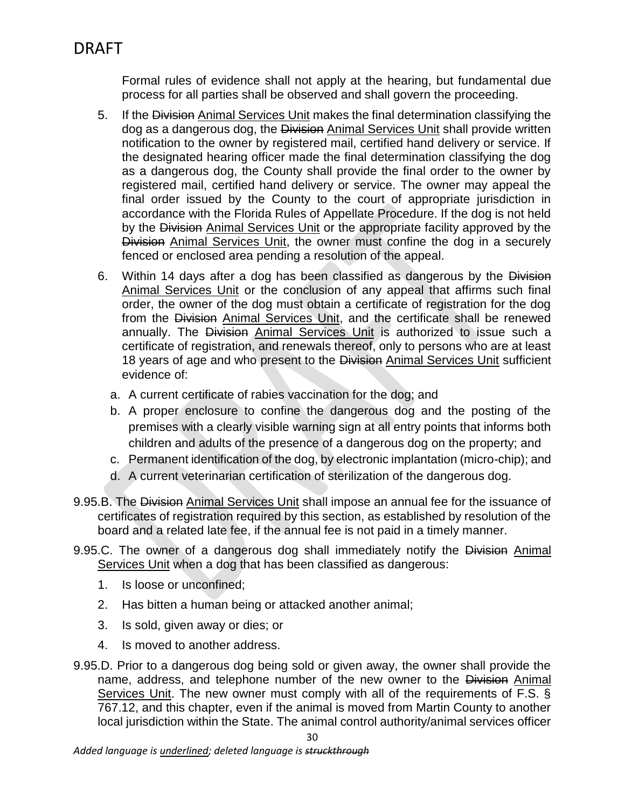Formal rules of evidence shall not apply at the hearing, but fundamental due process for all parties shall be observed and shall govern the proceeding.

- 5. If the Division Animal Services Unit makes the final determination classifying the dog as a dangerous dog, the Division Animal Services Unit shall provide written notification to the owner by registered mail, certified hand delivery or service. If the designated hearing officer made the final determination classifying the dog as a dangerous dog, the County shall provide the final order to the owner by registered mail, certified hand delivery or service. The owner may appeal the final order issued by the County to the court of appropriate jurisdiction in accordance with the Florida Rules of Appellate Procedure. If the dog is not held by the Division Animal Services Unit or the appropriate facility approved by the Division Animal Services Unit, the owner must confine the dog in a securely fenced or enclosed area pending a resolution of the appeal.
- 6. Within 14 days after a dog has been classified as dangerous by the Division Animal Services Unit or the conclusion of any appeal that affirms such final order, the owner of the dog must obtain a certificate of registration for the dog from the Division Animal Services Unit, and the certificate shall be renewed annually. The Division Animal Services Unit is authorized to issue such a certificate of registration, and renewals thereof, only to persons who are at least 18 years of age and who present to the Division Animal Services Unit sufficient evidence of:
	- a. A current certificate of rabies vaccination for the dog; and
	- b. A proper enclosure to confine the dangerous dog and the posting of the premises with a clearly visible warning sign at all entry points that informs both children and adults of the presence of a dangerous dog on the property; and
	- c. Permanent identification of the dog, by electronic implantation (micro-chip); and
	- d. A current veterinarian certification of sterilization of the dangerous dog.
- 9.95.B. The Division Animal Services Unit shall impose an annual fee for the issuance of certificates of registration required by this section, as established by resolution of the board and a related late fee, if the annual fee is not paid in a timely manner.
- 9.95.C. The owner of a dangerous dog shall immediately notify the Division Animal Services Unit when a dog that has been classified as dangerous:
	- 1. Is loose or unconfined;
	- 2. Has bitten a human being or attacked another animal;
	- 3. Is sold, given away or dies; or
	- 4. Is moved to another address.
- 9.95.D. Prior to a dangerous dog being sold or given away, the owner shall provide the name, address, and telephone number of the new owner to the Division Animal Services Unit. The new owner must comply with all of the requirements of F.S. § 767.12, and this chapter, even if the animal is moved from Martin County to another local jurisdiction within the State. The animal control authority/animal services officer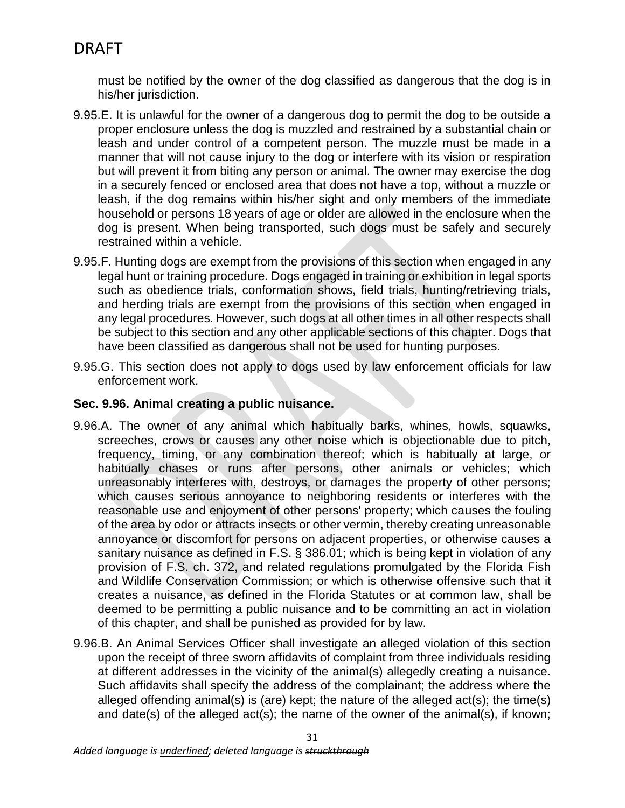must be notified by the owner of the dog classified as dangerous that the dog is in his/her jurisdiction.

- 9.95.E. It is unlawful for the owner of a dangerous dog to permit the dog to be outside a proper enclosure unless the dog is muzzled and restrained by a substantial chain or leash and under control of a competent person. The muzzle must be made in a manner that will not cause injury to the dog or interfere with its vision or respiration but will prevent it from biting any person or animal. The owner may exercise the dog in a securely fenced or enclosed area that does not have a top, without a muzzle or leash, if the dog remains within his/her sight and only members of the immediate household or persons 18 years of age or older are allowed in the enclosure when the dog is present. When being transported, such dogs must be safely and securely restrained within a vehicle.
- 9.95.F. Hunting dogs are exempt from the provisions of this section when engaged in any legal hunt or training procedure. Dogs engaged in training or exhibition in legal sports such as obedience trials, conformation shows, field trials, hunting/retrieving trials, and herding trials are exempt from the provisions of this section when engaged in any legal procedures. However, such dogs at all other times in all other respects shall be subject to this section and any other applicable sections of this chapter. Dogs that have been classified as dangerous shall not be used for hunting purposes.
- 9.95.G. This section does not apply to dogs used by law enforcement officials for law enforcement work.

### **Sec. 9.96. Animal creating a public nuisance.**

- 9.96.A. The owner of any animal which habitually barks, whines, howls, squawks, screeches, crows or causes any other noise which is objectionable due to pitch, frequency, timing, or any combination thereof; which is habitually at large, or habitually chases or runs after persons, other animals or vehicles; which unreasonably interferes with, destroys, or damages the property of other persons; which causes serious annoyance to neighboring residents or interferes with the reasonable use and enjoyment of other persons' property; which causes the fouling of the area by odor or attracts insects or other vermin, thereby creating unreasonable annoyance or discomfort for persons on adjacent properties, or otherwise causes a sanitary nuisance as defined in F.S. § 386.01; which is being kept in violation of any provision of F.S. ch. 372, and related regulations promulgated by the Florida Fish and Wildlife Conservation Commission; or which is otherwise offensive such that it creates a nuisance, as defined in the Florida Statutes or at common law, shall be deemed to be permitting a public nuisance and to be committing an act in violation of this chapter, and shall be punished as provided for by law.
- 9.96.B. An Animal Services Officer shall investigate an alleged violation of this section upon the receipt of three sworn affidavits of complaint from three individuals residing at different addresses in the vicinity of the animal(s) allegedly creating a nuisance. Such affidavits shall specify the address of the complainant; the address where the alleged offending animal(s) is (are) kept; the nature of the alleged act(s); the time(s) and date(s) of the alleged act(s); the name of the owner of the animal(s), if known;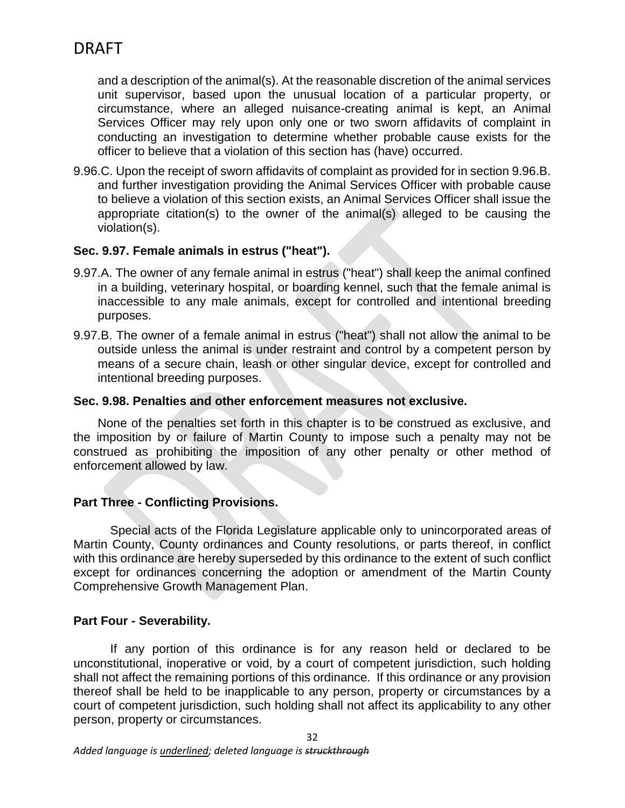and a description of the animal(s). At the reasonable discretion of the animal services unit supervisor, based upon the unusual location of a particular property, or circumstance, where an alleged nuisance-creating animal is kept, an Animal Services Officer may rely upon only one or two sworn affidavits of complaint in conducting an investigation to determine whether probable cause exists for the officer to believe that a violation of this section has (have) occurred.

9.96.C. Upon the receipt of sworn affidavits of complaint as provided for in section 9.96.B. and further investigation providing the Animal Services Officer with probable cause to believe a violation of this section exists, an Animal Services Officer shall issue the appropriate citation(s) to the owner of the animal(s) alleged to be causing the violation(s).

### **Sec. 9.97. Female animals in estrus ("heat").**

- 9.97.A. The owner of any female animal in estrus ("heat") shall keep the animal confined in a building, veterinary hospital, or boarding kennel, such that the female animal is inaccessible to any male animals, except for controlled and intentional breeding purposes.
- 9.97.B. The owner of a female animal in estrus ("heat") shall not allow the animal to be outside unless the animal is under restraint and control by a competent person by means of a secure chain, leash or other singular device, except for controlled and intentional breeding purposes.

### **Sec. 9.98. Penalties and other enforcement measures not exclusive.**

None of the penalties set forth in this chapter is to be construed as exclusive, and the imposition by or failure of Martin County to impose such a penalty may not be construed as prohibiting the imposition of any other penalty or other method of enforcement allowed by law.

## **Part Three - Conflicting Provisions.**

Special acts of the Florida Legislature applicable only to unincorporated areas of Martin County, County ordinances and County resolutions, or parts thereof, in conflict with this ordinance are hereby superseded by this ordinance to the extent of such conflict except for ordinances concerning the adoption or amendment of the Martin County Comprehensive Growth Management Plan.

## **Part Four - Severability.**

If any portion of this ordinance is for any reason held or declared to be unconstitutional, inoperative or void, by a court of competent jurisdiction, such holding shall not affect the remaining portions of this ordinance. If this ordinance or any provision thereof shall be held to be inapplicable to any person, property or circumstances by a court of competent jurisdiction, such holding shall not affect its applicability to any other person, property or circumstances.